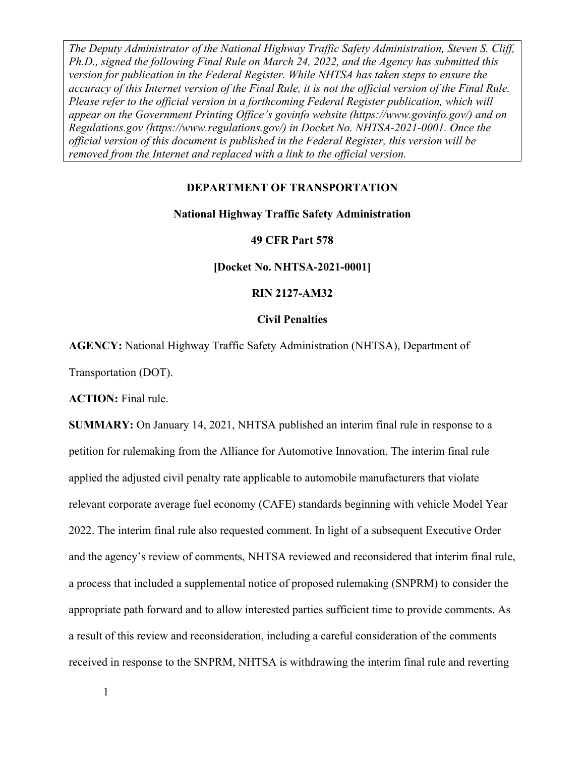#### **DEPARTMENT OF TRANSPORTATION**

#### **National Highway Traffic Safety Administration**

#### **49 CFR Part 578**

**[Docket No. NHTSA-2021-0001]** 

#### **RIN 2127-AM32**

#### **Civil Penalties**

**AGENCY:** National Highway Traffic Safety Administration (NHTSA), Department of

Transportation (DOT).

**ACTION:** Final rule.

**SUMMARY:** On January 14, 2021, NHTSA published an interim final rule in response to a petition for rulemaking from the Alliance for Automotive Innovation. The interim final rule applied the adjusted civil penalty rate applicable to automobile manufacturers that violate relevant corporate average fuel economy (CAFE) standards beginning with vehicle Model Year 2022. The interim final rule also requested comment. In light of a subsequent Executive Order and the agency's review of comments, NHTSA reviewed and reconsidered that interim final rule, a process that included a supplemental notice of proposed rulemaking (SNPRM) to consider the appropriate path forward and to allow interested parties sufficient time to provide comments. As a result of this review and reconsideration, including a careful consideration of the comments received in response to the SNPRM, NHTSA is withdrawing the interim final rule and reverting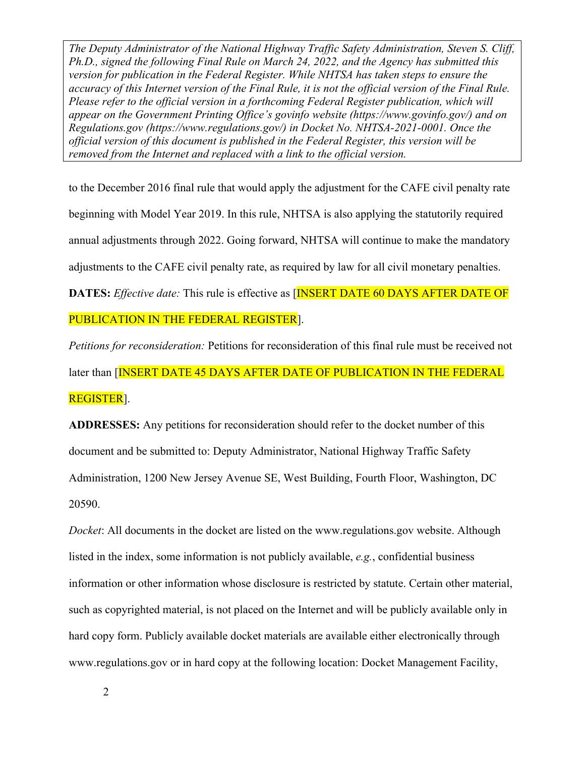to the December 2016 final rule that would apply the adjustment for the CAFE civil penalty rate beginning with Model Year 2019. In this rule, NHTSA is also applying the statutorily required annual adjustments through 2022. Going forward, NHTSA will continue to make the mandatory adjustments to the CAFE civil penalty rate, as required by law for all civil monetary penalties. **DATES:** *Effective date:* This rule is effective as **[INSERT DATE 60 DAYS AFTER DATE OF** 

## PUBLICATION IN THE FEDERAL REGISTER].

*Petitions for reconsideration:* Petitions for reconsideration of this final rule must be received not later than [INSERT DATE 45 DAYS AFTER DATE OF PUBLICATION IN THE FEDERAL REGISTER].

**ADDRESSES:** Any petitions for reconsideration should refer to the docket number of this document and be submitted to: Deputy Administrator, National Highway Traffic Safety Administration, 1200 New Jersey Avenue SE, West Building, Fourth Floor, Washington, DC 20590.

*Docket*: All documents in the docket are listed on the www.regulations.gov website. Although listed in the index, some information is not publicly available, *e.g.*, confidential business information or other information whose disclosure is restricted by statute. Certain other material, such as copyrighted material, is not placed on the Internet and will be publicly available only in hard copy form. Publicly available docket materials are available either electronically through www.regulations.gov or in hard copy at the following location: Docket Management Facility,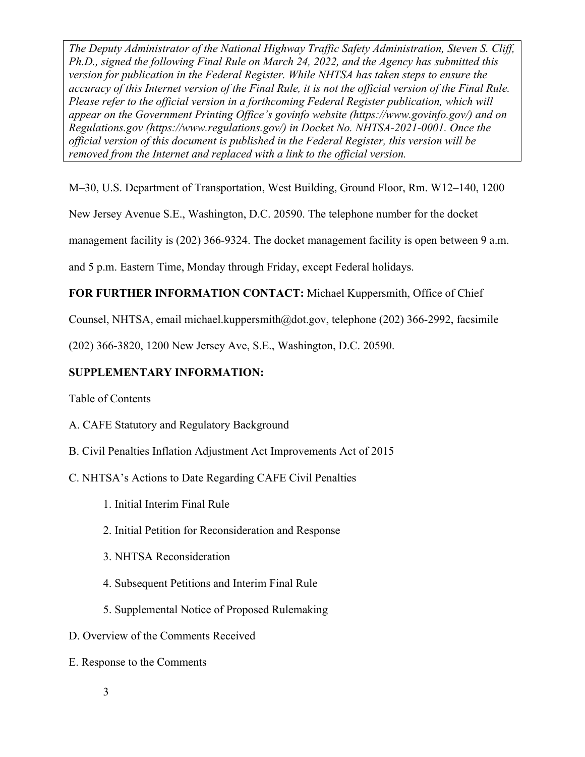M–30, U.S. Department of Transportation, West Building, Ground Floor, Rm. W12–140, 1200

New Jersey Avenue S.E., Washington, D.C. 20590. The telephone number for the docket

management facility is (202) 366-9324. The docket management facility is open between 9 a.m.

and 5 p.m. Eastern Time, Monday through Friday, except Federal holidays.

# **FOR FURTHER INFORMATION CONTACT:** Michael Kuppersmith, Office of Chief

Counsel, NHTSA, email michael.kuppersmith@dot.gov, telephone (202) 366-2992, facsimile

(202) 366-3820, 1200 New Jersey Ave, S.E., Washington, D.C. 20590.

# **SUPPLEMENTARY INFORMATION:**

Table of Contents

- A. CAFE Statutory and Regulatory Background
- B. Civil Penalties Inflation Adjustment Act Improvements Act of 2015
- C. NHTSA's Actions to Date Regarding CAFE Civil Penalties
	- 1. Initial Interim Final Rule
	- 2. Initial Petition for Reconsideration and Response
	- 3. NHTSA Reconsideration
	- 4. Subsequent Petitions and Interim Final Rule
	- 5. Supplemental Notice of Proposed Rulemaking
- D. Overview of the Comments Received
- E. Response to the Comments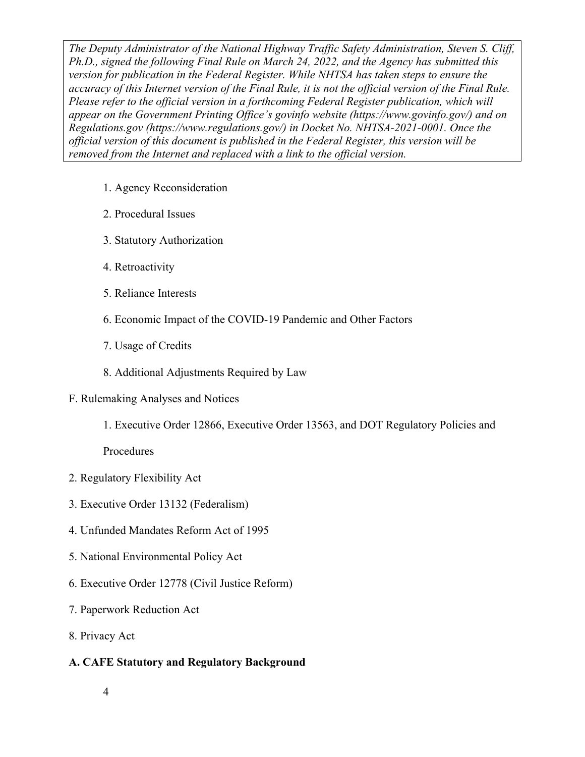- 1. Agency Reconsideration
- 2. Procedural Issues
- 3. Statutory Authorization
- 4. Retroactivity
- 5. Reliance Interests
- 6. Economic Impact of the COVID-19 Pandemic and Other Factors
- 7. Usage of Credits
- 8. Additional Adjustments Required by Law
- F. Rulemaking Analyses and Notices
	- 1. Executive Order 12866, Executive Order 13563, and DOT Regulatory Policies and

Procedures

- 2. Regulatory Flexibility Act
- 3. Executive Order 13132 (Federalism)
- 4. Unfunded Mandates Reform Act of 1995
- 5. National Environmental Policy Act
- 6. Executive Order 12778 (Civil Justice Reform)
- 7. Paperwork Reduction Act
- 8. Privacy Act

# **A. CAFE Statutory and Regulatory Background**

4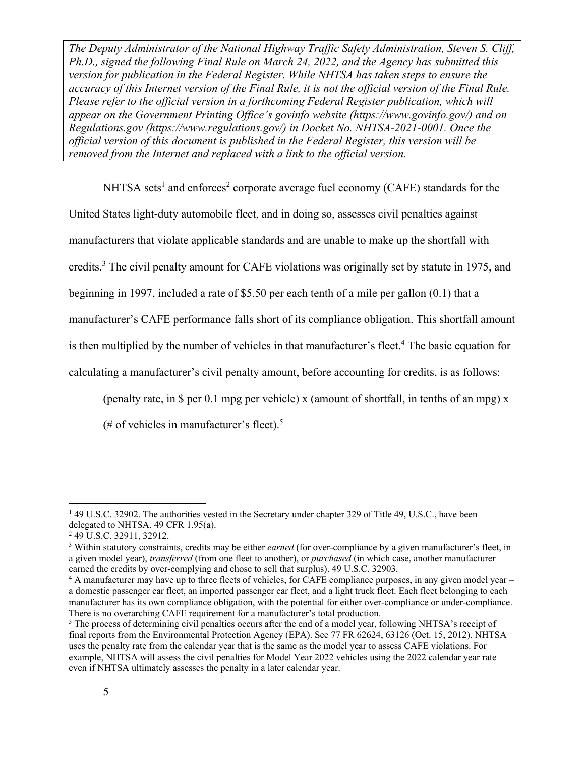NHTSA sets<sup>1</sup> and enforces<sup>2</sup> corporate average fuel economy (CAFE) standards for the United States light-duty automobile fleet, and in doing so, assesses civil penalties against manufacturers that violate applicable standards and are unable to make up the shortfall with credits.<sup>3</sup> The civil penalty amount for CAFE violations was originally set by statute in 1975, and beginning in 1997, included a rate of \$5.50 per each tenth of a mile per gallon (0.1) that a manufacturer's CAFE performance falls short of its compliance obligation. This shortfall amount is then multiplied by the number of vehicles in that manufacturer's fleet.<sup>4</sup> The basic equation for calculating a manufacturer's civil penalty amount, before accounting for credits, is as follows:

(penalty rate, in \$ per 0.1 mpg per vehicle) x (amount of shortfall, in tenths of an mpg) x

(# of vehicles in manufacturer's fleet).<sup>5</sup>

<sup>&</sup>lt;sup>1</sup> 49 U.S.C. 32902. The authorities vested in the Secretary under chapter 329 of Title 49, U.S.C., have been delegated to NHTSA. 49 CFR 1.95(a).

<sup>&</sup>lt;sup>2</sup> 49 U.S.C. 32911, 32912.

<sup>3</sup> Within statutory constraints, credits may be either *earned* (for over-compliance by a given manufacturer's fleet, in a given model year), *transferred* (from one fleet to another), or *purchased* (in which case, another manufacturer earned the credits by over-complying and chose to sell that surplus). 49 U.S.C. 32903.

<sup>4</sup> A manufacturer may have up to three fleets of vehicles, for CAFE compliance purposes, in any given model year – a domestic passenger car fleet, an imported passenger car fleet, and a light truck fleet. Each fleet belonging to each manufacturer has its own compliance obligation, with the potential for either over-compliance or under-compliance. There is no overarching CAFE requirement for a manufacturer's total production.

<sup>&</sup>lt;sup>5</sup> The process of determining civil penalties occurs after the end of a model year, following NHTSA's receipt of final reports from the Environmental Protection Agency (EPA). See 77 FR 62624, 63126 (Oct. 15, 2012). NHTSA uses the penalty rate from the calendar year that is the same as the model year to assess CAFE violations. For example, NHTSA will assess the civil penalties for Model Year 2022 vehicles using the 2022 calendar year rate even if NHTSA ultimately assesses the penalty in a later calendar year.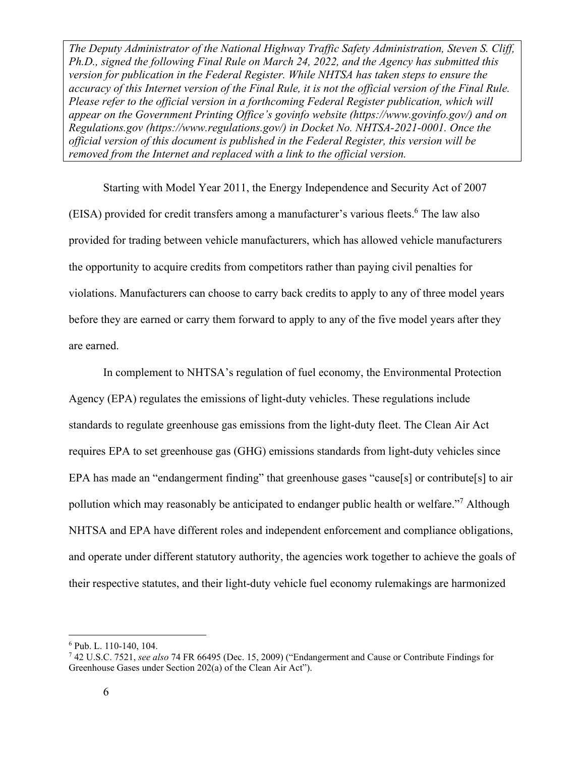Starting with Model Year 2011, the Energy Independence and Security Act of 2007 (EISA) provided for credit transfers among a manufacturer's various fleets.<sup>6</sup> The law also provided for trading between vehicle manufacturers, which has allowed vehicle manufacturers the opportunity to acquire credits from competitors rather than paying civil penalties for violations. Manufacturers can choose to carry back credits to apply to any of three model years before they are earned or carry them forward to apply to any of the five model years after they are earned.

In complement to NHTSA's regulation of fuel economy, the Environmental Protection Agency (EPA) regulates the emissions of light-duty vehicles. These regulations include standards to regulate greenhouse gas emissions from the light-duty fleet. The Clean Air Act requires EPA to set greenhouse gas (GHG) emissions standards from light-duty vehicles since EPA has made an "endangerment finding" that greenhouse gases "cause[s] or contribute[s] to air pollution which may reasonably be anticipated to endanger public health or welfare."<sup>7</sup> Although NHTSA and EPA have different roles and independent enforcement and compliance obligations, and operate under different statutory authority, the agencies work together to achieve the goals of their respective statutes, and their light-duty vehicle fuel economy rulemakings are harmonized

<sup>6</sup> Pub. L. 110-140, 104.

<sup>7</sup> 42 U.S.C. 7521, *see also* 74 FR 66495 (Dec. 15, 2009) ("Endangerment and Cause or Contribute Findings for Greenhouse Gases under Section 202(a) of the Clean Air Act").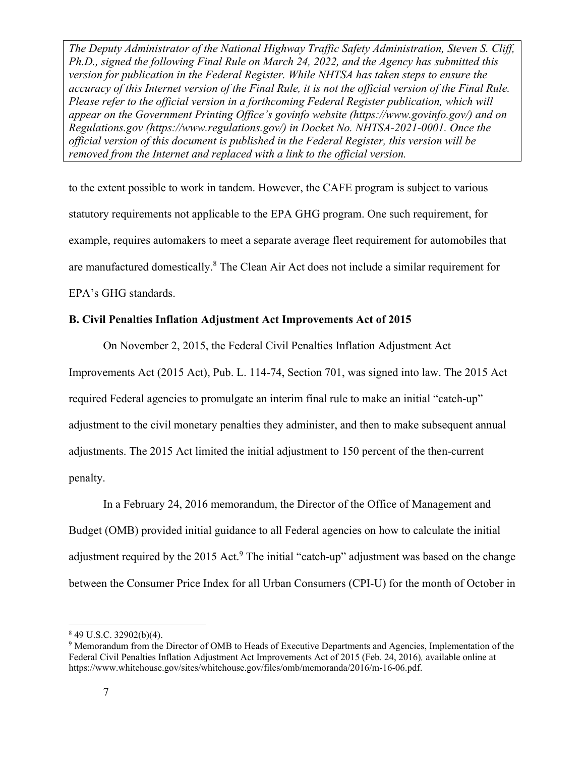to the extent possible to work in tandem. However, the CAFE program is subject to various statutory requirements not applicable to the EPA GHG program. One such requirement, for example, requires automakers to meet a separate average fleet requirement for automobiles that are manufactured domestically.<sup>8</sup> The Clean Air Act does not include a similar requirement for EPA's GHG standards.

## **B. Civil Penalties Inflation Adjustment Act Improvements Act of 2015**

On November 2, 2015, the Federal Civil Penalties Inflation Adjustment Act

Improvements Act (2015 Act), Pub. L. 114-74, Section 701, was signed into law. The 2015 Act required Federal agencies to promulgate an interim final rule to make an initial "catch-up" adjustment to the civil monetary penalties they administer, and then to make subsequent annual adjustments. The 2015 Act limited the initial adjustment to 150 percent of the then-current penalty.

In a February 24, 2016 memorandum, the Director of the Office of Management and Budget (OMB) provided initial guidance to all Federal agencies on how to calculate the initial adjustment required by the 2015 Act.<sup>9</sup> The initial "catch-up" adjustment was based on the change between the Consumer Price Index for all Urban Consumers (CPI-U) for the month of October in

 $849$  U.S.C. 32902(b)(4).

<sup>&</sup>lt;sup>9</sup> Memorandum from the Director of OMB to Heads of Executive Departments and Agencies, Implementation of the Federal Civil Penalties Inflation Adjustment Act Improvements Act of 2015 (Feb. 24, 2016)*,* available online at https://www.whitehouse.gov/sites/whitehouse.gov/files/omb/memoranda/2016/m-16-06.pdf.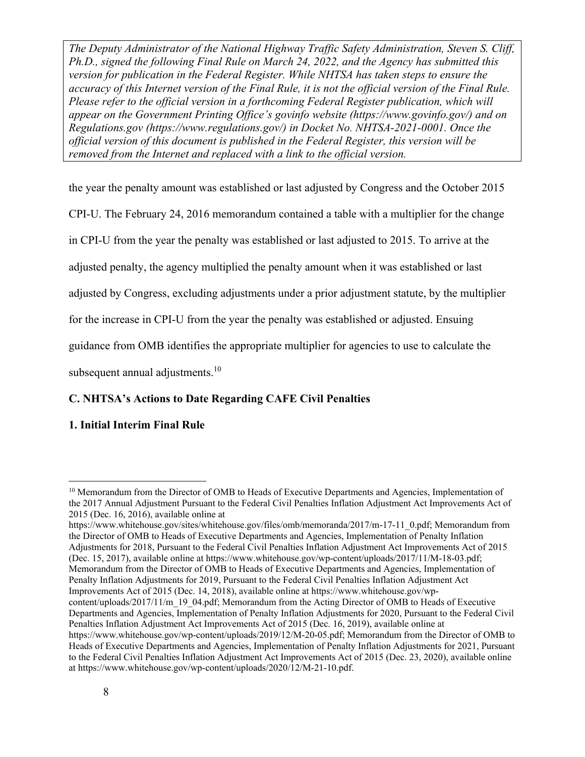the year the penalty amount was established or last adjusted by Congress and the October 2015

CPI-U. The February 24, 2016 memorandum contained a table with a multiplier for the change

in CPI-U from the year the penalty was established or last adjusted to 2015. To arrive at the

adjusted penalty, the agency multiplied the penalty amount when it was established or last

adjusted by Congress, excluding adjustments under a prior adjustment statute, by the multiplier

for the increase in CPI-U from the year the penalty was established or adjusted. Ensuing

guidance from OMB identifies the appropriate multiplier for agencies to use to calculate the

subsequent annual adjustments.<sup>10</sup>

# **C. NHTSA's Actions to Date Regarding CAFE Civil Penalties**

# **1. Initial Interim Final Rule**

https://www.whitehouse.gov/sites/whitehouse.gov/files/omb/memoranda/2017/m-17-11\_0.pdf; Memorandum from the Director of OMB to Heads of Executive Departments and Agencies, Implementation of Penalty Inflation Adjustments for 2018, Pursuant to the Federal Civil Penalties Inflation Adjustment Act Improvements Act of 2015 (Dec. 15, 2017), available online at https://www.whitehouse.gov/wp-content/uploads/2017/11/M-18-03.pdf; Memorandum from the Director of OMB to Heads of Executive Departments and Agencies, Implementation of Penalty Inflation Adjustments for 2019, Pursuant to the Federal Civil Penalties Inflation Adjustment Act Improvements Act of 2015 (Dec. 14, 2018), available online at https://www.whitehouse.gov/wpcontent/uploads/2017/11/m\_19\_04.pdf; Memorandum from the Acting Director of OMB to Heads of Executive Departments and Agencies, Implementation of Penalty Inflation Adjustments for 2020, Pursuant to the Federal Civil Penalties Inflation Adjustment Act Improvements Act of 2015 (Dec. 16, 2019), available online at https://www.whitehouse.gov/wp-content/uploads/2019/12/M-20-05.pdf; Memorandum from the Director of OMB to Heads of Executive Departments and Agencies, Implementation of Penalty Inflation Adjustments for 2021, Pursuant to the Federal Civil Penalties Inflation Adjustment Act Improvements Act of 2015 (Dec. 23, 2020), available online at https://www.whitehouse.gov/wp-content/uploads/2020/12/M-21-10.pdf.

 $10$  Memorandum from the Director of OMB to Heads of Executive Departments and Agencies, Implementation of the 2017 Annual Adjustment Pursuant to the Federal Civil Penalties Inflation Adjustment Act Improvements Act of 2015 (Dec. 16, 2016), available online at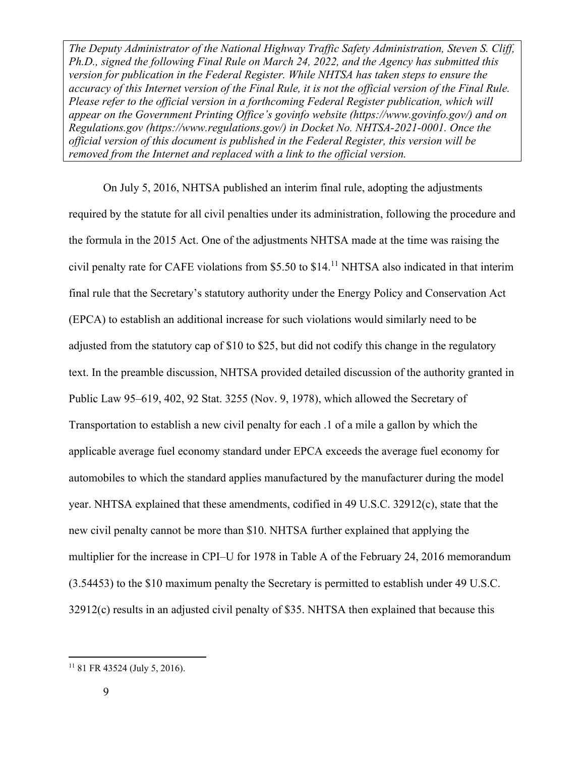On July 5, 2016, NHTSA published an interim final rule, adopting the adjustments required by the statute for all civil penalties under its administration, following the procedure and the formula in the 2015 Act. One of the adjustments NHTSA made at the time was raising the civil penalty rate for CAFE violations from \$5.50 to \$14.11 NHTSA also indicated in that interim final rule that the Secretary's statutory authority under the Energy Policy and Conservation Act (EPCA) to establish an additional increase for such violations would similarly need to be adjusted from the statutory cap of \$10 to \$25, but did not codify this change in the regulatory text. In the preamble discussion, NHTSA provided detailed discussion of the authority granted in Public Law 95–619, 402, 92 Stat. 3255 (Nov. 9, 1978), which allowed the Secretary of Transportation to establish a new civil penalty for each .1 of a mile a gallon by which the applicable average fuel economy standard under EPCA exceeds the average fuel economy for automobiles to which the standard applies manufactured by the manufacturer during the model year. NHTSA explained that these amendments, codified in 49 U.S.C. 32912(c), state that the new civil penalty cannot be more than \$10. NHTSA further explained that applying the multiplier for the increase in CPI–U for 1978 in Table A of the February 24, 2016 memorandum (3.54453) to the \$10 maximum penalty the Secretary is permitted to establish under 49 U.S.C. 32912(c) results in an adjusted civil penalty of \$35. NHTSA then explained that because this

 $11$  81 FR 43524 (July 5, 2016).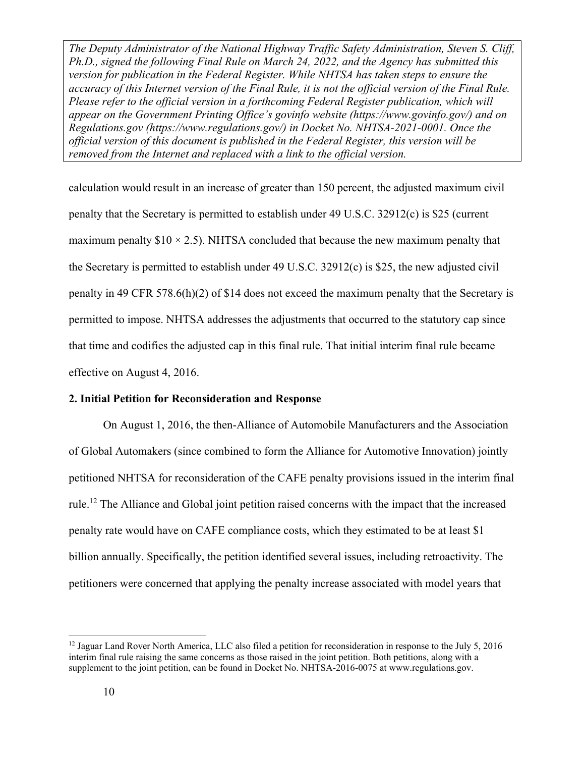calculation would result in an increase of greater than 150 percent, the adjusted maximum civil penalty that the Secretary is permitted to establish under 49 U.S.C. 32912(c) is \$25 (current maximum penalty  $$10 \times 2.5$ ). NHTSA concluded that because the new maximum penalty that the Secretary is permitted to establish under 49 U.S.C. 32912(c) is \$25, the new adjusted civil penalty in 49 CFR 578.6(h)(2) of \$14 does not exceed the maximum penalty that the Secretary is permitted to impose. NHTSA addresses the adjustments that occurred to the statutory cap since that time and codifies the adjusted cap in this final rule. That initial interim final rule became effective on August 4, 2016.

#### **2. Initial Petition for Reconsideration and Response**

On August 1, 2016, the then-Alliance of Automobile Manufacturers and the Association of Global Automakers (since combined to form the Alliance for Automotive Innovation) jointly petitioned NHTSA for reconsideration of the CAFE penalty provisions issued in the interim final rule.12 The Alliance and Global joint petition raised concerns with the impact that the increased penalty rate would have on CAFE compliance costs, which they estimated to be at least \$1 billion annually. Specifically, the petition identified several issues, including retroactivity. The petitioners were concerned that applying the penalty increase associated with model years that

 $12$  Jaguar Land Rover North America, LLC also filed a petition for reconsideration in response to the July 5, 2016 interim final rule raising the same concerns as those raised in the joint petition. Both petitions, along with a supplement to the joint petition, can be found in Docket No. NHTSA-2016-0075 at www.regulations.gov.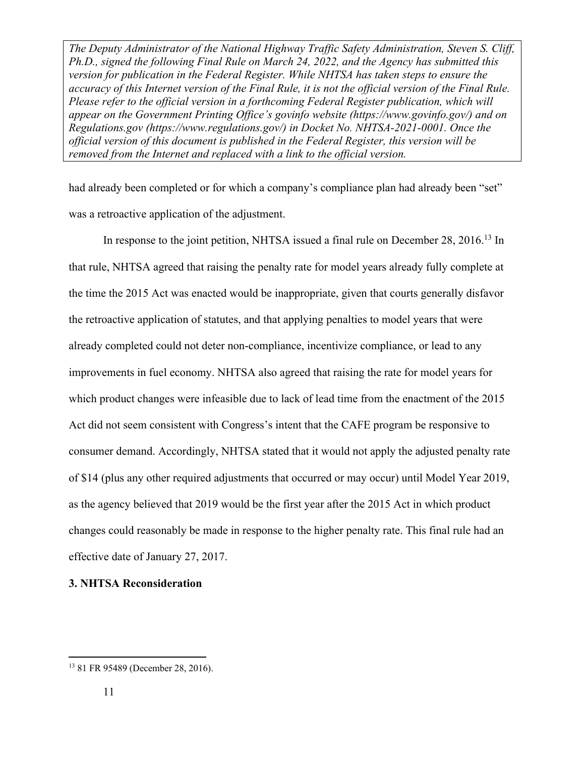had already been completed or for which a company's compliance plan had already been "set" was a retroactive application of the adjustment.

In response to the joint petition, NHTSA issued a final rule on December 28, 2016.<sup>13</sup> In that rule, NHTSA agreed that raising the penalty rate for model years already fully complete at the time the 2015 Act was enacted would be inappropriate, given that courts generally disfavor the retroactive application of statutes, and that applying penalties to model years that were already completed could not deter non-compliance, incentivize compliance, or lead to any improvements in fuel economy. NHTSA also agreed that raising the rate for model years for which product changes were infeasible due to lack of lead time from the enactment of the 2015 Act did not seem consistent with Congress's intent that the CAFE program be responsive to consumer demand. Accordingly, NHTSA stated that it would not apply the adjusted penalty rate of \$14 (plus any other required adjustments that occurred or may occur) until Model Year 2019, as the agency believed that 2019 would be the first year after the 2015 Act in which product changes could reasonably be made in response to the higher penalty rate. This final rule had an effective date of January 27, 2017.

**3. NHTSA Reconsideration** 

<sup>13 81</sup> FR 95489 (December 28, 2016).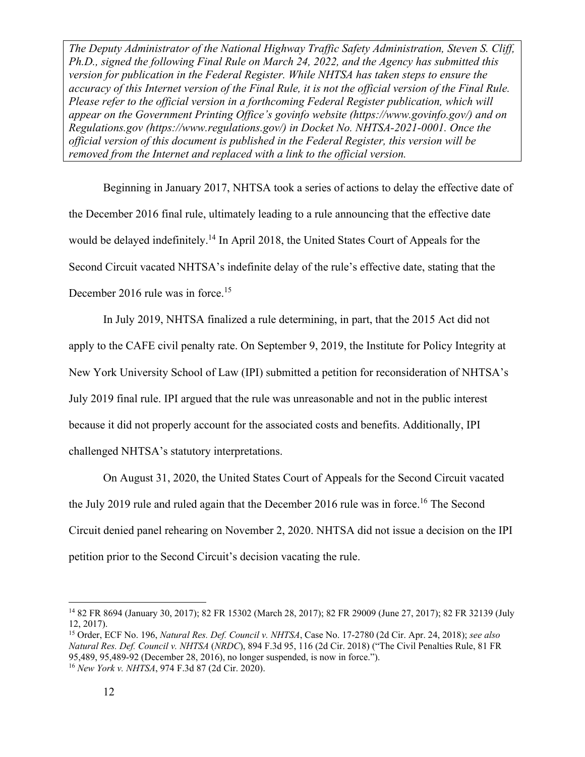Beginning in January 2017, NHTSA took a series of actions to delay the effective date of the December 2016 final rule, ultimately leading to a rule announcing that the effective date would be delayed indefinitely.<sup>14</sup> In April 2018, the United States Court of Appeals for the Second Circuit vacated NHTSA's indefinite delay of the rule's effective date, stating that the December 2016 rule was in force.<sup>15</sup>

In July 2019, NHTSA finalized a rule determining, in part, that the 2015 Act did not apply to the CAFE civil penalty rate. On September 9, 2019, the Institute for Policy Integrity at New York University School of Law (IPI) submitted a petition for reconsideration of NHTSA's July 2019 final rule. IPI argued that the rule was unreasonable and not in the public interest because it did not properly account for the associated costs and benefits. Additionally, IPI challenged NHTSA's statutory interpretations.

On August 31, 2020, the United States Court of Appeals for the Second Circuit vacated the July 2019 rule and ruled again that the December 2016 rule was in force.<sup>16</sup> The Second Circuit denied panel rehearing on November 2, 2020. NHTSA did not issue a decision on the IPI petition prior to the Second Circuit's decision vacating the rule.

<sup>14 82</sup> FR 8694 (January 30, 2017); 82 FR 15302 (March 28, 2017); 82 FR 29009 (June 27, 2017); 82 FR 32139 (July 12, 2017).

<sup>15</sup> Order, ECF No. 196, *Natural Res. Def. Council v. NHTSA*, Case No. 17-2780 (2d Cir. Apr. 24, 2018); *see also Natural Res. Def. Council v. NHTSA* (*NRDC*), 894 F.3d 95, 116 (2d Cir. 2018) ("The Civil Penalties Rule, 81 FR 95,489, 95,489-92 (December 28, 2016), no longer suspended, is now in force."). <sup>16</sup> *New York v. NHTSA*, 974 F.3d 87 (2d Cir. 2020).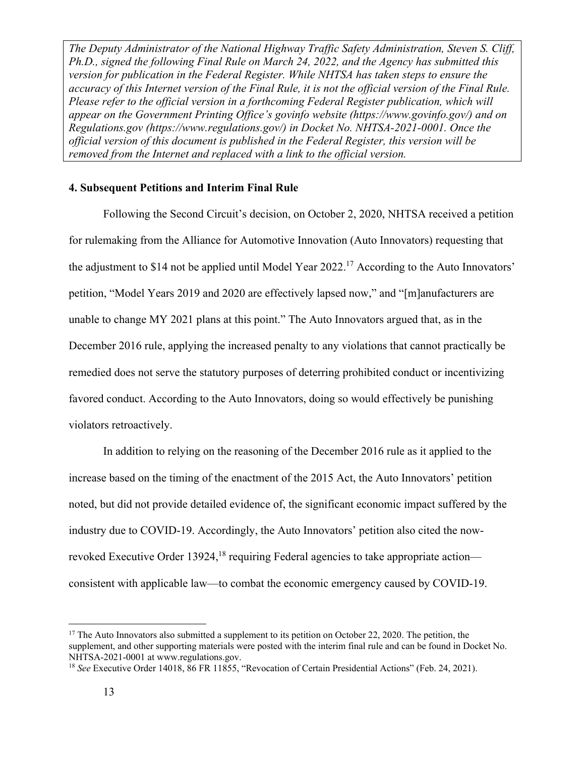#### **4. Subsequent Petitions and Interim Final Rule**

Following the Second Circuit's decision, on October 2, 2020, NHTSA received a petition for rulemaking from the Alliance for Automotive Innovation (Auto Innovators) requesting that the adjustment to \$14 not be applied until Model Year 2022.<sup>17</sup> According to the Auto Innovators' petition, "Model Years 2019 and 2020 are effectively lapsed now," and "[m]anufacturers are unable to change MY 2021 plans at this point." The Auto Innovators argued that, as in the December 2016 rule, applying the increased penalty to any violations that cannot practically be remedied does not serve the statutory purposes of deterring prohibited conduct or incentivizing favored conduct. According to the Auto Innovators, doing so would effectively be punishing violators retroactively.

In addition to relying on the reasoning of the December 2016 rule as it applied to the increase based on the timing of the enactment of the 2015 Act, the Auto Innovators' petition noted, but did not provide detailed evidence of, the significant economic impact suffered by the industry due to COVID-19. Accordingly, the Auto Innovators' petition also cited the nowrevoked Executive Order 13924,<sup>18</sup> requiring Federal agencies to take appropriate action consistent with applicable law—to combat the economic emergency caused by COVID-19.

<sup>&</sup>lt;sup>17</sup> The Auto Innovators also submitted a supplement to its petition on October 22, 2020. The petition, the supplement, and other supporting materials were posted with the interim final rule and can be found in Docket No. NHTSA-2021-0001 at www.regulations.gov.

<sup>&</sup>lt;sup>18</sup> See Executive Order 14018, 86 FR 11855, "Revocation of Certain Presidential Actions" (Feb. 24, 2021).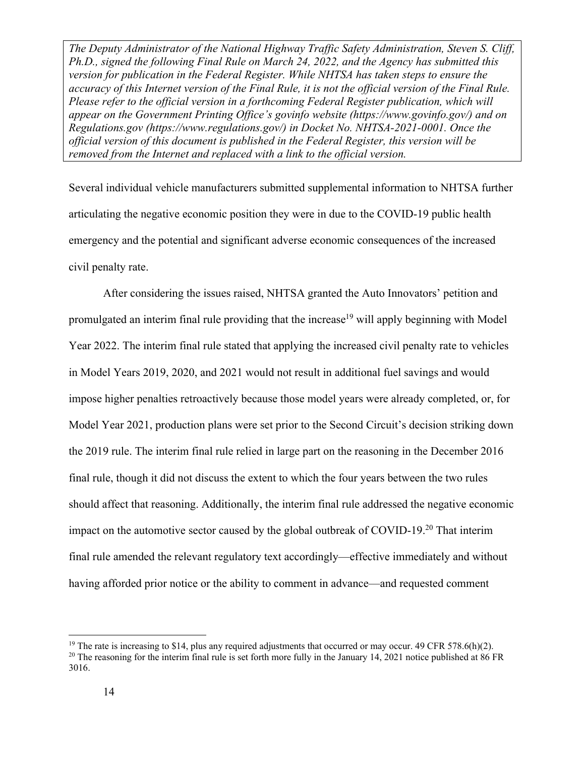Several individual vehicle manufacturers submitted supplemental information to NHTSA further articulating the negative economic position they were in due to the COVID-19 public health emergency and the potential and significant adverse economic consequences of the increased civil penalty rate.

After considering the issues raised, NHTSA granted the Auto Innovators' petition and promulgated an interim final rule providing that the increase<sup>19</sup> will apply beginning with Model Year 2022. The interim final rule stated that applying the increased civil penalty rate to vehicles in Model Years 2019, 2020, and 2021 would not result in additional fuel savings and would impose higher penalties retroactively because those model years were already completed, or, for Model Year 2021, production plans were set prior to the Second Circuit's decision striking down the 2019 rule. The interim final rule relied in large part on the reasoning in the December 2016 final rule, though it did not discuss the extent to which the four years between the two rules should affect that reasoning. Additionally, the interim final rule addressed the negative economic impact on the automotive sector caused by the global outbreak of COVID-19.20 That interim final rule amended the relevant regulatory text accordingly—effective immediately and without having afforded prior notice or the ability to comment in advance—and requested comment

<sup>&</sup>lt;sup>19</sup> The rate is increasing to \$14, plus any required adjustments that occurred or may occur. 49 CFR 578.6(h)(2).

<sup>&</sup>lt;sup>20</sup> The reasoning for the interim final rule is set forth more fully in the January 14, 2021 notice published at 86 FR 3016.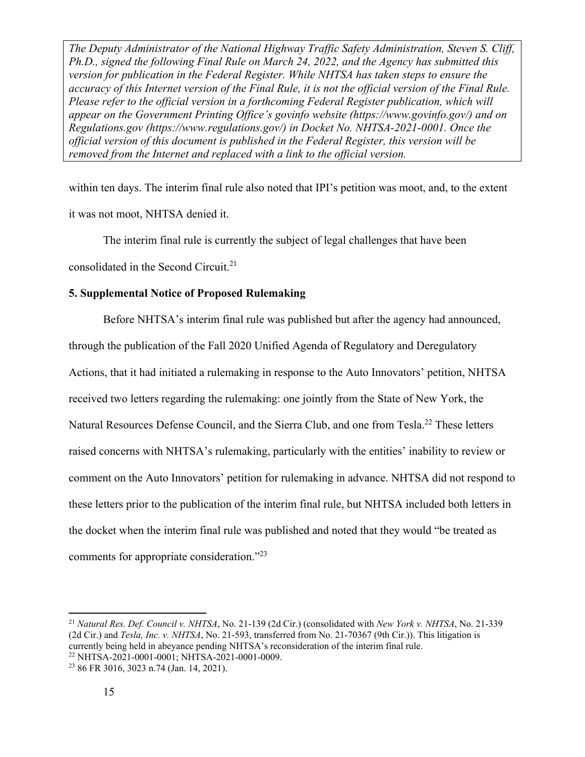within ten days. The interim final rule also noted that IPI's petition was moot, and, to the extent it was not moot, NHTSA denied it.

 The interim final rule is currently the subject of legal challenges that have been consolidated in the Second Circuit.<sup>21</sup>

#### **5. Supplemental Notice of Proposed Rulemaking**

 Before NHTSA's interim final rule was published but after the agency had announced, through the publication of the Fall 2020 Unified Agenda of Regulatory and Deregulatory Actions, that it had initiated a rulemaking in response to the Auto Innovators' petition, NHTSA received two letters regarding the rulemaking: one jointly from the State of New York, the Natural Resources Defense Council, and the Sierra Club, and one from Tesla.<sup>22</sup> These letters raised concerns with NHTSA's rulemaking, particularly with the entities' inability to review or comment on the Auto Innovators' petition for rulemaking in advance. NHTSA did not respond to these letters prior to the publication of the interim final rule, but NHTSA included both letters in the docket when the interim final rule was published and noted that they would "be treated as comments for appropriate consideration."23

<sup>21</sup> *Natural Res. Def. Council v. NHTSA*, No. 21-139 (2d Cir.) (consolidated with *New York v. NHTSA*, No. 21-339 (2d Cir.) and *Tesla, Inc. v. NHTSA*, No. 21-593, transferred from No. 21-70367 (9th Cir.)). This litigation is currently being held in abeyance pending NHTSA's reconsideration of the interim final rule. 22 NHTSA-2021-0001-0001; NHTSA-2021-0001-0009.

<sup>23 86</sup> FR 3016, 3023 n.74 (Jan. 14, 2021).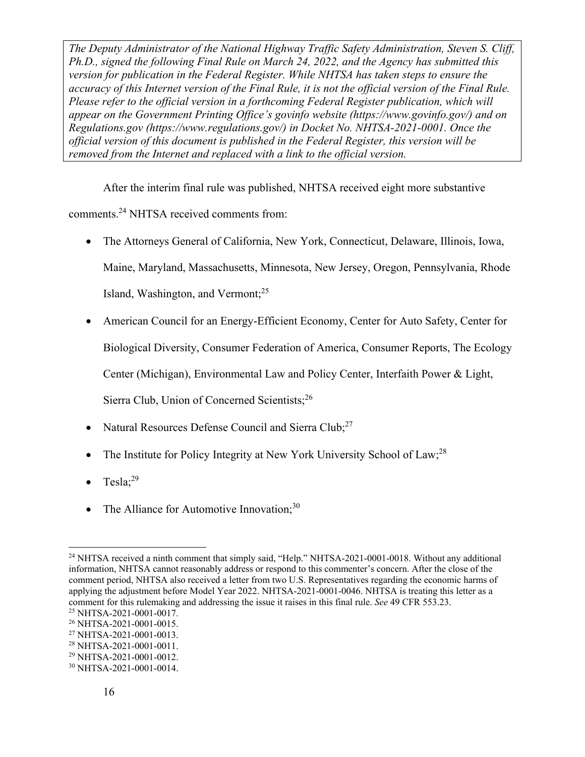After the interim final rule was published, NHTSA received eight more substantive comments.24 NHTSA received comments from:

- The Attorneys General of California, New York, Connecticut, Delaware, Illinois, Iowa, Maine, Maryland, Massachusetts, Minnesota, New Jersey, Oregon, Pennsylvania, Rhode Island, Washington, and Vermont;25
- American Council for an Energy-Efficient Economy, Center for Auto Safety, Center for

Biological Diversity, Consumer Federation of America, Consumer Reports, The Ecology

Center (Michigan), Environmental Law and Policy Center, Interfaith Power & Light,

Sierra Club, Union of Concerned Scientists;26

- Natural Resources Defense Council and Sierra Club;<sup>27</sup>
- The Institute for Policy Integrity at New York University School of Law;<sup>28</sup>
- Tesla:<sup>29</sup>
- The Alliance for Automotive Innovation; $30$

<sup>&</sup>lt;sup>24</sup> NHTSA received a ninth comment that simply said, "Help." NHTSA-2021-0001-0018. Without any additional information, NHTSA cannot reasonably address or respond to this commenter's concern. After the close of the comment period, NHTSA also received a letter from two U.S. Representatives regarding the economic harms of applying the adjustment before Model Year 2022. NHTSA-2021-0001-0046. NHTSA is treating this letter as a comment for this rulemaking and addressing the issue it raises in this final rule. *See* 49 CFR 553.23. 25 NHTSA-2021-0001-0017.

<sup>26</sup> NHTSA-2021-0001-0015.

<sup>27</sup> NHTSA-2021-0001-0013.

<sup>28</sup> NHTSA-2021-0001-0011.

<sup>29</sup> NHTSA-2021-0001-0012.

<sup>30</sup> NHTSA-2021-0001-0014.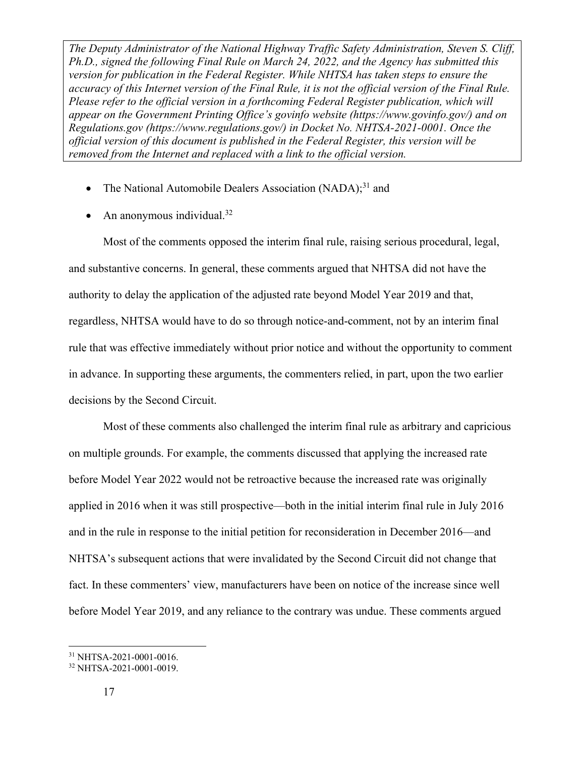- The National Automobile Dealers Association  $(NADA)$ <sup>31</sup>, and
- An anonymous individual.<sup>32</sup>

Most of the comments opposed the interim final rule, raising serious procedural, legal, and substantive concerns. In general, these comments argued that NHTSA did not have the authority to delay the application of the adjusted rate beyond Model Year 2019 and that, regardless, NHTSA would have to do so through notice-and-comment, not by an interim final rule that was effective immediately without prior notice and without the opportunity to comment in advance. In supporting these arguments, the commenters relied, in part, upon the two earlier decisions by the Second Circuit.

Most of these comments also challenged the interim final rule as arbitrary and capricious on multiple grounds. For example, the comments discussed that applying the increased rate before Model Year 2022 would not be retroactive because the increased rate was originally applied in 2016 when it was still prospective—both in the initial interim final rule in July 2016 and in the rule in response to the initial petition for reconsideration in December 2016—and NHTSA's subsequent actions that were invalidated by the Second Circuit did not change that fact. In these commenters' view, manufacturers have been on notice of the increase since well before Model Year 2019, and any reliance to the contrary was undue. These comments argued

<sup>31</sup> NHTSA-2021-0001-0016.

<sup>32</sup> NHTSA-2021-0001-0019.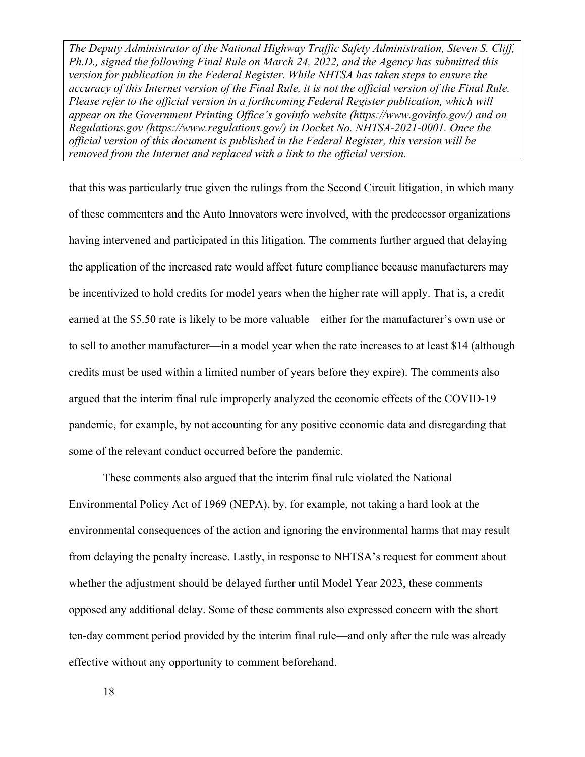that this was particularly true given the rulings from the Second Circuit litigation, in which many of these commenters and the Auto Innovators were involved, with the predecessor organizations having intervened and participated in this litigation. The comments further argued that delaying the application of the increased rate would affect future compliance because manufacturers may be incentivized to hold credits for model years when the higher rate will apply. That is, a credit earned at the \$5.50 rate is likely to be more valuable—either for the manufacturer's own use or to sell to another manufacturer—in a model year when the rate increases to at least \$14 (although credits must be used within a limited number of years before they expire). The comments also argued that the interim final rule improperly analyzed the economic effects of the COVID-19 pandemic, for example, by not accounting for any positive economic data and disregarding that some of the relevant conduct occurred before the pandemic.

These comments also argued that the interim final rule violated the National Environmental Policy Act of 1969 (NEPA), by, for example, not taking a hard look at the environmental consequences of the action and ignoring the environmental harms that may result from delaying the penalty increase. Lastly, in response to NHTSA's request for comment about whether the adjustment should be delayed further until Model Year 2023, these comments opposed any additional delay. Some of these comments also expressed concern with the short ten-day comment period provided by the interim final rule—and only after the rule was already effective without any opportunity to comment beforehand.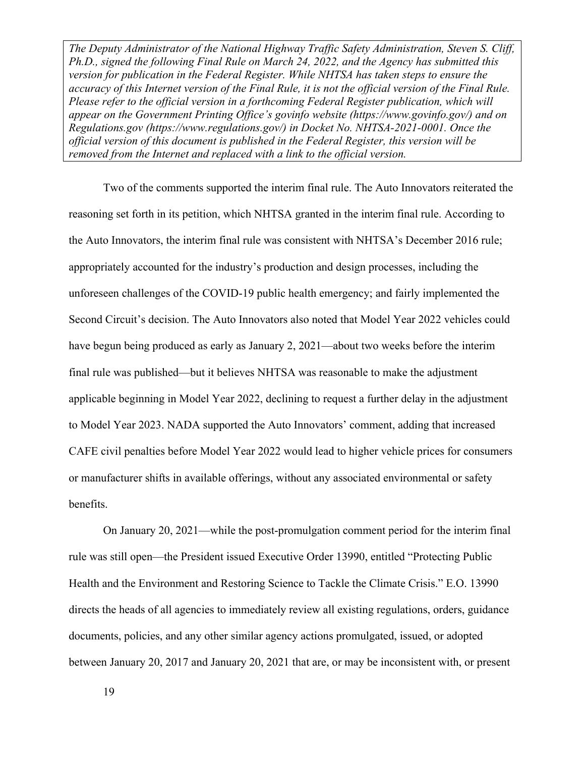Two of the comments supported the interim final rule. The Auto Innovators reiterated the reasoning set forth in its petition, which NHTSA granted in the interim final rule. According to the Auto Innovators, the interim final rule was consistent with NHTSA's December 2016 rule; appropriately accounted for the industry's production and design processes, including the unforeseen challenges of the COVID-19 public health emergency; and fairly implemented the Second Circuit's decision. The Auto Innovators also noted that Model Year 2022 vehicles could have begun being produced as early as January 2, 2021—about two weeks before the interim final rule was published—but it believes NHTSA was reasonable to make the adjustment applicable beginning in Model Year 2022, declining to request a further delay in the adjustment to Model Year 2023. NADA supported the Auto Innovators' comment, adding that increased CAFE civil penalties before Model Year 2022 would lead to higher vehicle prices for consumers or manufacturer shifts in available offerings, without any associated environmental or safety benefits.

On January 20, 2021—while the post-promulgation comment period for the interim final rule was still open—the President issued Executive Order 13990, entitled "Protecting Public Health and the Environment and Restoring Science to Tackle the Climate Crisis." E.O. 13990 directs the heads of all agencies to immediately review all existing regulations, orders, guidance documents, policies, and any other similar agency actions promulgated, issued, or adopted between January 20, 2017 and January 20, 2021 that are, or may be inconsistent with, or present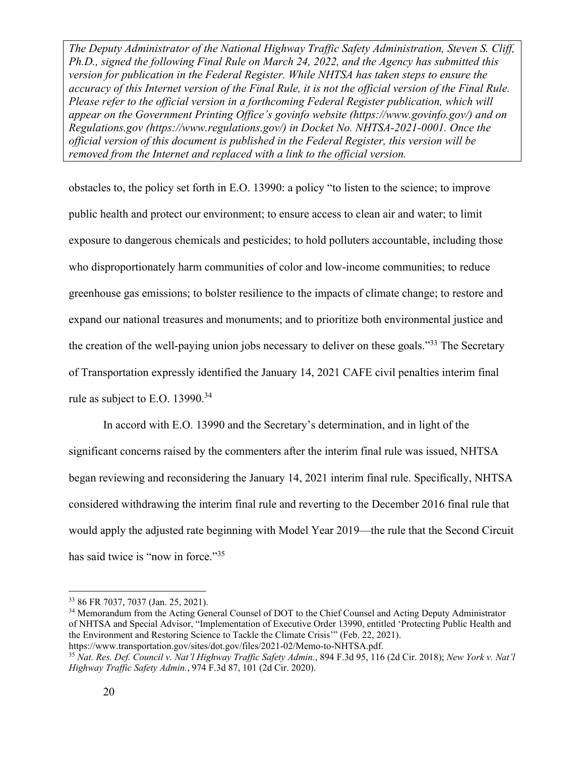obstacles to, the policy set forth in E.O. 13990: a policy "to listen to the science; to improve public health and protect our environment; to ensure access to clean air and water; to limit exposure to dangerous chemicals and pesticides; to hold polluters accountable, including those who disproportionately harm communities of color and low-income communities; to reduce greenhouse gas emissions; to bolster resilience to the impacts of climate change; to restore and expand our national treasures and monuments; and to prioritize both environmental justice and the creation of the well-paying union jobs necessary to deliver on these goals."<sup>33</sup> The Secretary of Transportation expressly identified the January 14, 2021 CAFE civil penalties interim final rule as subject to E.O. 13990.<sup>34</sup>

In accord with E.O. 13990 and the Secretary's determination, and in light of the significant concerns raised by the commenters after the interim final rule was issued, NHTSA began reviewing and reconsidering the January 14, 2021 interim final rule. Specifically, NHTSA considered withdrawing the interim final rule and reverting to the December 2016 final rule that would apply the adjusted rate beginning with Model Year 2019—the rule that the Second Circuit has said twice is "now in force."<sup>35</sup>

<sup>33 86</sup> FR 7037, 7037 (Jan. 25, 2021).

<sup>&</sup>lt;sup>34</sup> Memorandum from the Acting General Counsel of DOT to the Chief Counsel and Acting Deputy Administrator of NHTSA and Special Advisor, "Implementation of Executive Order 13990, entitled 'Protecting Public Health and the Environment and Restoring Science to Tackle the Climate Crisis'" (Feb. 22, 2021).

https://www.transportation.gov/sites/dot.gov/files/2021-02/Memo-to-NHTSA.pdf. 35 *Nat. Res. Def. Council v. Nat'l Highway Traffic Safety Admin.*, 894 F.3d 95, 116 (2d Cir. 2018); *New York v. Nat'l Highway Traffic Safety Admin.*, 974 F.3d 87, 101 (2d Cir. 2020).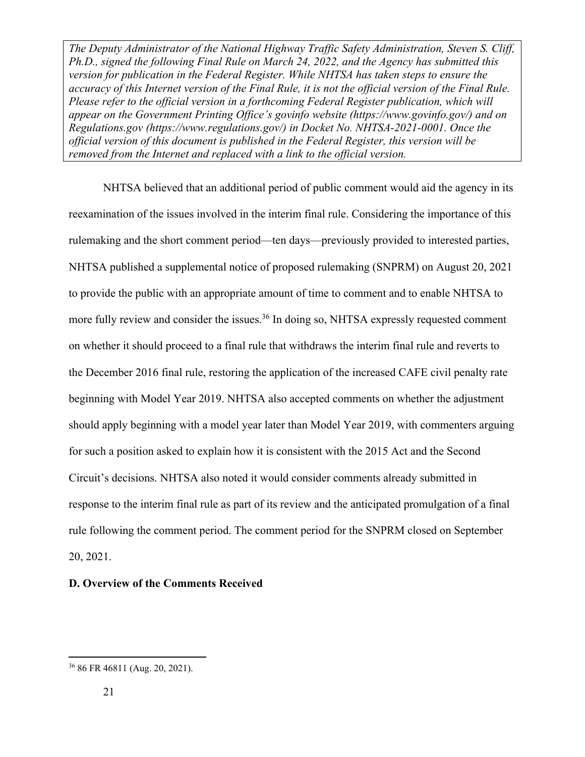NHTSA believed that an additional period of public comment would aid the agency in its reexamination of the issues involved in the interim final rule. Considering the importance of this rulemaking and the short comment period—ten days—previously provided to interested parties, NHTSA published a supplemental notice of proposed rulemaking (SNPRM) on August 20, 2021 to provide the public with an appropriate amount of time to comment and to enable NHTSA to more fully review and consider the issues.<sup>36</sup> In doing so, NHTSA expressly requested comment on whether it should proceed to a final rule that withdraws the interim final rule and reverts to the December 2016 final rule, restoring the application of the increased CAFE civil penalty rate beginning with Model Year 2019. NHTSA also accepted comments on whether the adjustment should apply beginning with a model year later than Model Year 2019, with commenters arguing for such a position asked to explain how it is consistent with the 2015 Act and the Second Circuit's decisions. NHTSA also noted it would consider comments already submitted in response to the interim final rule as part of its review and the anticipated promulgation of a final rule following the comment period. The comment period for the SNPRM closed on September 20, 2021.

#### **D. Overview of the Comments Received**

<sup>36 86</sup> FR 46811 (Aug. 20, 2021).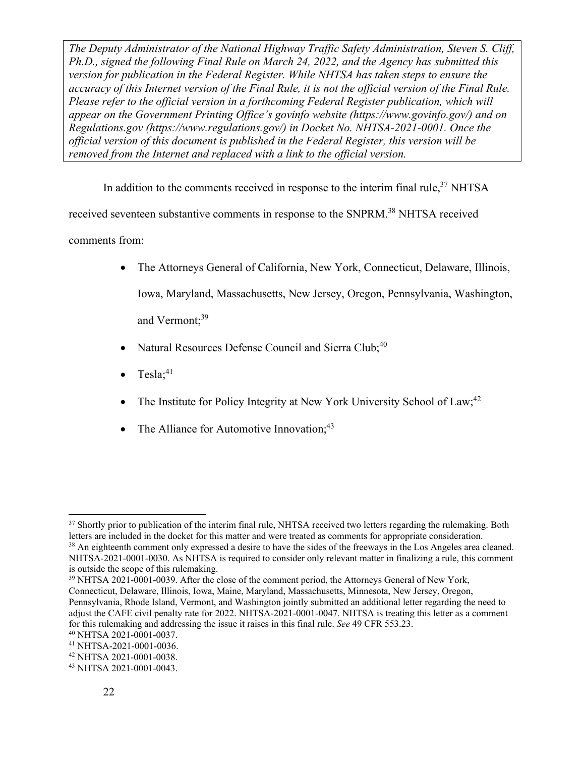In addition to the comments received in response to the interim final rule,<sup>37</sup> NHTSA

received seventeen substantive comments in response to the SNPRM.38 NHTSA received

comments from:

- The Attorneys General of California, New York, Connecticut, Delaware, Illinois, Iowa, Maryland, Massachusetts, New Jersey, Oregon, Pennsylvania, Washington, and Vermont:<sup>39</sup>
- Natural Resources Defense Council and Sierra Club;<sup>40</sup>
- $Tes1a:^{41}$
- The Institute for Policy Integrity at New York University School of Law;<sup>42</sup>
- The Alliance for Automotive Innovation; $43$

39 NHTSA 2021-0001-0039. After the close of the comment period, the Attorneys General of New York, Connecticut, Delaware, Illinois, Iowa, Maine, Maryland, Massachusetts, Minnesota, New Jersey, Oregon, Pennsylvania, Rhode Island, Vermont, and Washington jointly submitted an additional letter regarding the need to

<sup>&</sup>lt;sup>37</sup> Shortly prior to publication of the interim final rule, NHTSA received two letters regarding the rulemaking. Both letters are included in the docket for this matter and were treated as comments for appropriate conside

<sup>&</sup>lt;sup>38</sup> An eighteenth comment only expressed a desire to have the sides of the freeways in the Los Angeles area cleaned. NHTSA-2021-0001-0030. As NHTSA is required to consider only relevant matter in finalizing a rule, this comment is outside the scope of this rulemaking.

adjust the CAFE civil penalty rate for 2022. NHTSA-2021-0001-0047. NHTSA is treating this letter as a comment for this rulemaking and addressing the issue it raises in this final rule. *See* 49 CFR 553.23. 40 NHTSA 2021-0001-0037.

<sup>41</sup> NHTSA-2021-0001-0036.

<sup>42</sup> NHTSA 2021-0001-0038.

<sup>43</sup> NHTSA 2021-0001-0043.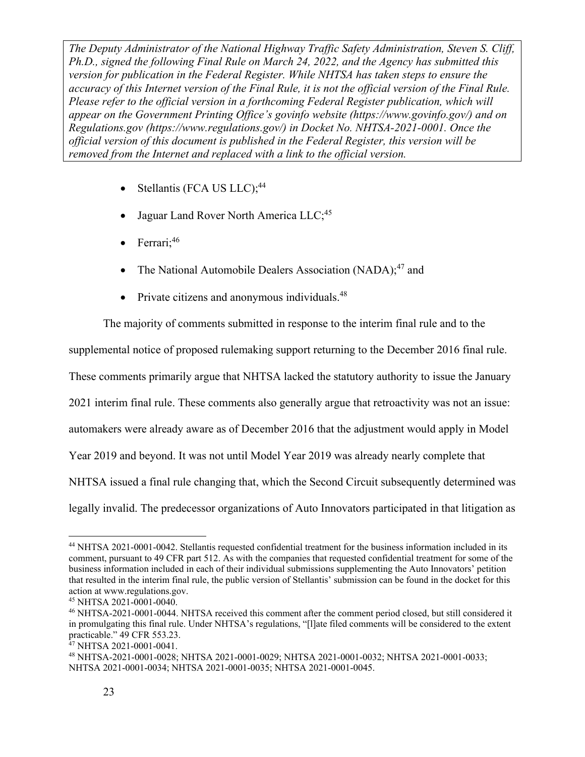- $\bullet$  Stellantis (FCA US LLC);<sup>44</sup>
- Jaguar Land Rover North America LLC;<sup>45</sup>
- $\bullet$  Ferrari;<sup>46</sup>
- The National Automobile Dealers Association (NADA); $47$  and
- $\bullet$  Private citizens and anonymous individuals.<sup>48</sup>

The majority of comments submitted in response to the interim final rule and to the

supplemental notice of proposed rulemaking support returning to the December 2016 final rule.

These comments primarily argue that NHTSA lacked the statutory authority to issue the January

2021 interim final rule. These comments also generally argue that retroactivity was not an issue:

automakers were already aware as of December 2016 that the adjustment would apply in Model

Year 2019 and beyond. It was not until Model Year 2019 was already nearly complete that

NHTSA issued a final rule changing that, which the Second Circuit subsequently determined was

legally invalid. The predecessor organizations of Auto Innovators participated in that litigation as

<sup>44</sup> NHTSA 2021-0001-0042. Stellantis requested confidential treatment for the business information included in its comment, pursuant to 49 CFR part 512. As with the companies that requested confidential treatment for some of the business information included in each of their individual submissions supplementing the Auto Innovators' petition that resulted in the interim final rule, the public version of Stellantis' submission can be found in the docket for this action at www.regulations.gov.

<sup>45</sup> NHTSA 2021-0001-0040.

<sup>46</sup> NHTSA-2021-0001-0044. NHTSA received this comment after the comment period closed, but still considered it in promulgating this final rule. Under NHTSA's regulations, "[l]ate filed comments will be considered to the extent practicable." 49 CFR 553.23.

<sup>&</sup>lt;sup>47</sup> NHTSA 2021-0001-0041.

<sup>48</sup> NHTSA-2021-0001-0028; NHTSA 2021-0001-0029; NHTSA 2021-0001-0032; NHTSA 2021-0001-0033; NHTSA 2021-0001-0034; NHTSA 2021-0001-0035; NHTSA 2021-0001-0045.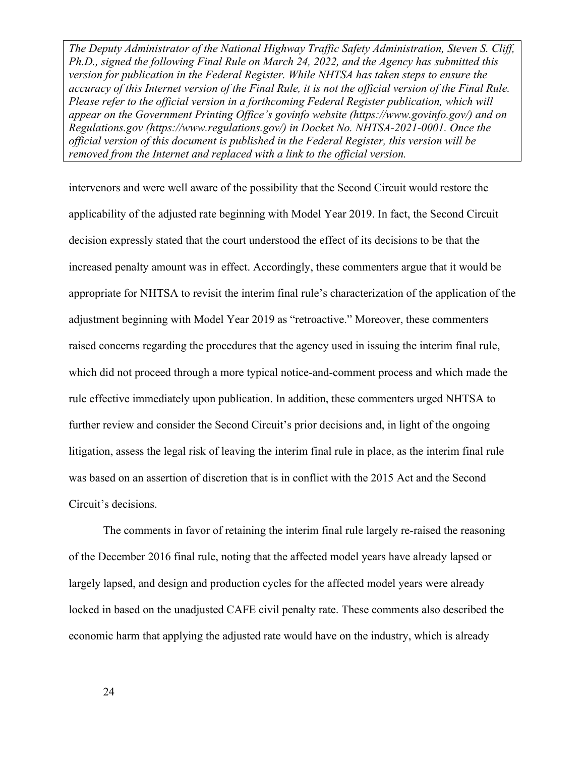intervenors and were well aware of the possibility that the Second Circuit would restore the applicability of the adjusted rate beginning with Model Year 2019. In fact, the Second Circuit decision expressly stated that the court understood the effect of its decisions to be that the increased penalty amount was in effect. Accordingly, these commenters argue that it would be appropriate for NHTSA to revisit the interim final rule's characterization of the application of the adjustment beginning with Model Year 2019 as "retroactive." Moreover, these commenters raised concerns regarding the procedures that the agency used in issuing the interim final rule, which did not proceed through a more typical notice-and-comment process and which made the rule effective immediately upon publication. In addition, these commenters urged NHTSA to further review and consider the Second Circuit's prior decisions and, in light of the ongoing litigation, assess the legal risk of leaving the interim final rule in place, as the interim final rule was based on an assertion of discretion that is in conflict with the 2015 Act and the Second Circuit's decisions.

The comments in favor of retaining the interim final rule largely re-raised the reasoning of the December 2016 final rule, noting that the affected model years have already lapsed or largely lapsed, and design and production cycles for the affected model years were already locked in based on the unadjusted CAFE civil penalty rate. These comments also described the economic harm that applying the adjusted rate would have on the industry, which is already

24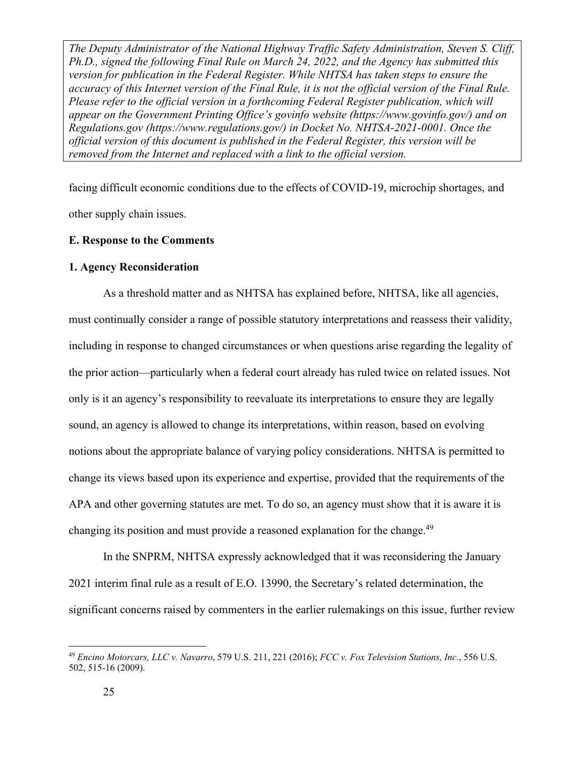facing difficult economic conditions due to the effects of COVID-19, microchip shortages, and other supply chain issues.

#### **E. Response to the Comments**

#### **1. Agency Reconsideration**

As a threshold matter and as NHTSA has explained before, NHTSA, like all agencies, must continually consider a range of possible statutory interpretations and reassess their validity, including in response to changed circumstances or when questions arise regarding the legality of the prior action—particularly when a federal court already has ruled twice on related issues. Not only is it an agency's responsibility to reevaluate its interpretations to ensure they are legally sound, an agency is allowed to change its interpretations, within reason, based on evolving notions about the appropriate balance of varying policy considerations. NHTSA is permitted to change its views based upon its experience and expertise, provided that the requirements of the APA and other governing statutes are met. To do so, an agency must show that it is aware it is changing its position and must provide a reasoned explanation for the change.<sup>49</sup>

In the SNPRM, NHTSA expressly acknowledged that it was reconsidering the January 2021 interim final rule as a result of E.O. 13990, the Secretary's related determination, the significant concerns raised by commenters in the earlier rulemakings on this issue, further review

<sup>49</sup> *Encino Motorcars, LLC v. Navarro*, 579 U.S. 211, 221 (2016); *FCC v. Fox Television Stations, Inc.*, 556 U.S. 502, 515-16 (2009).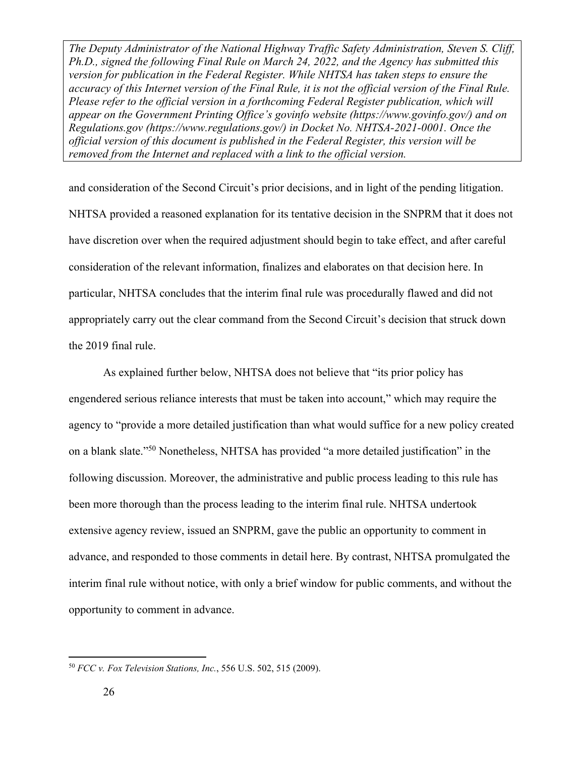and consideration of the Second Circuit's prior decisions, and in light of the pending litigation. NHTSA provided a reasoned explanation for its tentative decision in the SNPRM that it does not have discretion over when the required adjustment should begin to take effect, and after careful consideration of the relevant information, finalizes and elaborates on that decision here. In particular, NHTSA concludes that the interim final rule was procedurally flawed and did not appropriately carry out the clear command from the Second Circuit's decision that struck down the 2019 final rule.

As explained further below, NHTSA does not believe that "its prior policy has engendered serious reliance interests that must be taken into account," which may require the agency to "provide a more detailed justification than what would suffice for a new policy created on a blank slate."50 Nonetheless, NHTSA has provided "a more detailed justification" in the following discussion. Moreover, the administrative and public process leading to this rule has been more thorough than the process leading to the interim final rule. NHTSA undertook extensive agency review, issued an SNPRM, gave the public an opportunity to comment in advance, and responded to those comments in detail here. By contrast, NHTSA promulgated the interim final rule without notice, with only a brief window for public comments, and without the opportunity to comment in advance.

<sup>50</sup> *FCC v. Fox Television Stations, Inc.*, 556 U.S. 502, 515 (2009).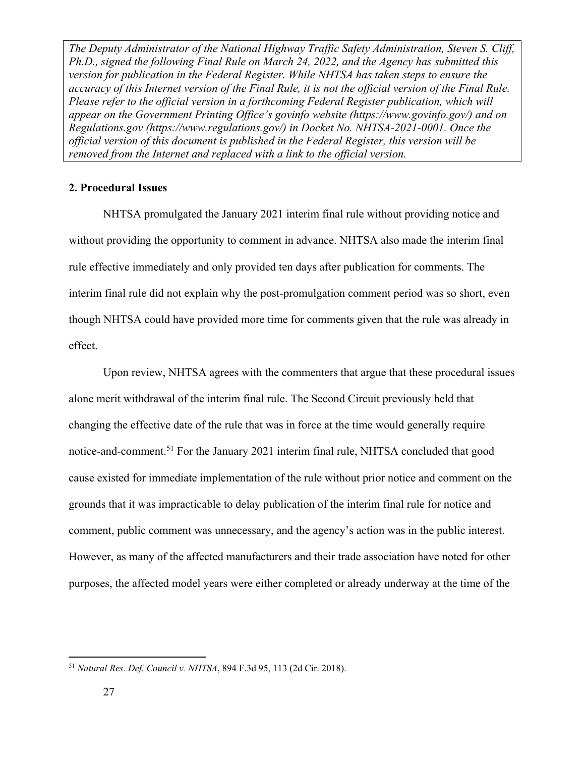#### **2. Procedural Issues**

 NHTSA promulgated the January 2021 interim final rule without providing notice and without providing the opportunity to comment in advance. NHTSA also made the interim final rule effective immediately and only provided ten days after publication for comments. The interim final rule did not explain why the post-promulgation comment period was so short, even though NHTSA could have provided more time for comments given that the rule was already in effect.

 Upon review, NHTSA agrees with the commenters that argue that these procedural issues alone merit withdrawal of the interim final rule. The Second Circuit previously held that changing the effective date of the rule that was in force at the time would generally require notice-and-comment.<sup>51</sup> For the January 2021 interim final rule, NHTSA concluded that good cause existed for immediate implementation of the rule without prior notice and comment on the grounds that it was impracticable to delay publication of the interim final rule for notice and comment, public comment was unnecessary, and the agency's action was in the public interest. However, as many of the affected manufacturers and their trade association have noted for other purposes, the affected model years were either completed or already underway at the time of the

<sup>51</sup> *Natural Res. Def. Council v. NHTSA*, 894 F.3d 95, 113 (2d Cir. 2018).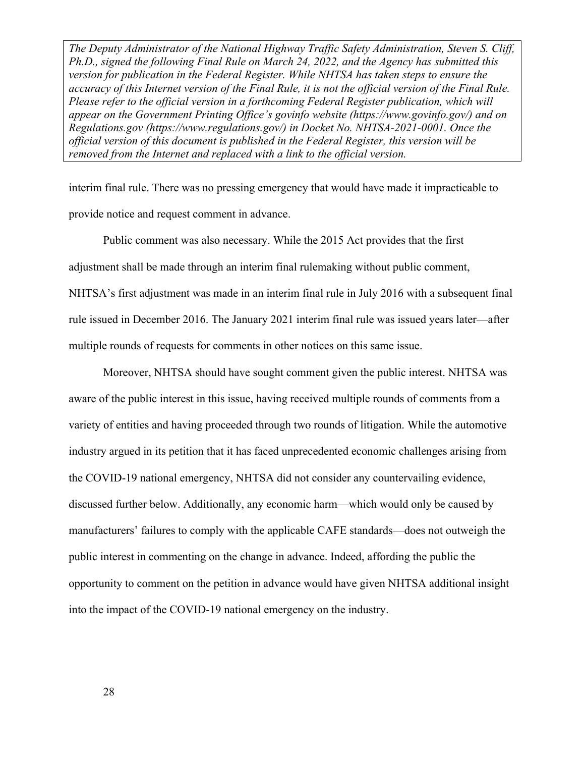interim final rule. There was no pressing emergency that would have made it impracticable to provide notice and request comment in advance.

 Public comment was also necessary. While the 2015 Act provides that the first adjustment shall be made through an interim final rulemaking without public comment, NHTSA's first adjustment was made in an interim final rule in July 2016 with a subsequent final rule issued in December 2016. The January 2021 interim final rule was issued years later—after multiple rounds of requests for comments in other notices on this same issue.

 Moreover, NHTSA should have sought comment given the public interest. NHTSA was aware of the public interest in this issue, having received multiple rounds of comments from a variety of entities and having proceeded through two rounds of litigation. While the automotive industry argued in its petition that it has faced unprecedented economic challenges arising from the COVID-19 national emergency, NHTSA did not consider any countervailing evidence, discussed further below. Additionally, any economic harm—which would only be caused by manufacturers' failures to comply with the applicable CAFE standards—does not outweigh the public interest in commenting on the change in advance. Indeed, affording the public the opportunity to comment on the petition in advance would have given NHTSA additional insight into the impact of the COVID-19 national emergency on the industry.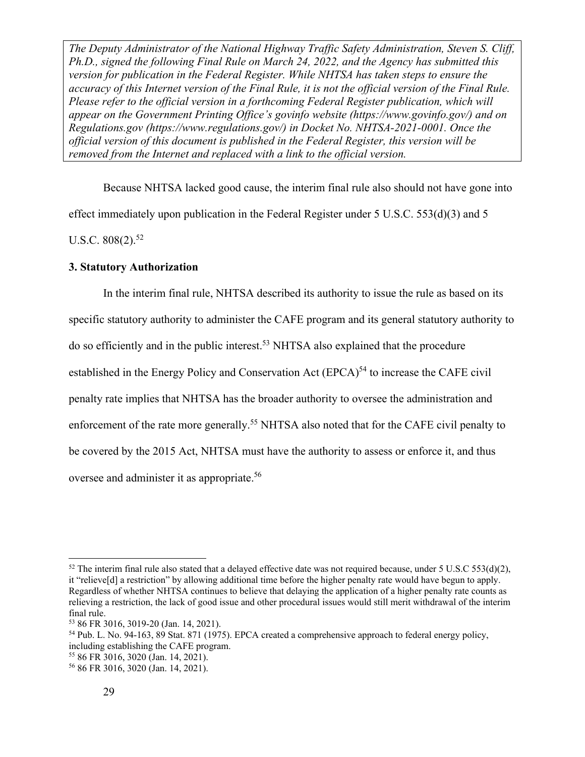Because NHTSA lacked good cause, the interim final rule also should not have gone into effect immediately upon publication in the Federal Register under 5 U.S.C.  $553(d)(3)$  and 5 U.S.C.  $808(2).$ <sup>52</sup>

#### **3. Statutory Authorization**

In the interim final rule, NHTSA described its authority to issue the rule as based on its specific statutory authority to administer the CAFE program and its general statutory authority to do so efficiently and in the public interest.53 NHTSA also explained that the procedure established in the Energy Policy and Conservation Act  $(EPCA)^{54}$  to increase the CAFE civil penalty rate implies that NHTSA has the broader authority to oversee the administration and enforcement of the rate more generally.<sup>55</sup> NHTSA also noted that for the CAFE civil penalty to be covered by the 2015 Act, NHTSA must have the authority to assess or enforce it, and thus oversee and administer it as appropriate.<sup>56</sup>

 $52$  The interim final rule also stated that a delayed effective date was not required because, under 5 U.S.C 553(d)(2), it "relieve[d] a restriction" by allowing additional time before the higher penalty rate would have begun to apply. Regardless of whether NHTSA continues to believe that delaying the application of a higher penalty rate counts as relieving a restriction, the lack of good issue and other procedural issues would still merit withdrawal of the interim final rule.

<sup>53 86</sup> FR 3016, 3019-20 (Jan. 14, 2021).

<sup>54</sup> Pub. L. No. 94-163, 89 Stat. 871 (1975). EPCA created a comprehensive approach to federal energy policy, including establishing the CAFE program.

<sup>55 86</sup> FR 3016, 3020 (Jan. 14, 2021).

<sup>56 86</sup> FR 3016, 3020 (Jan. 14, 2021).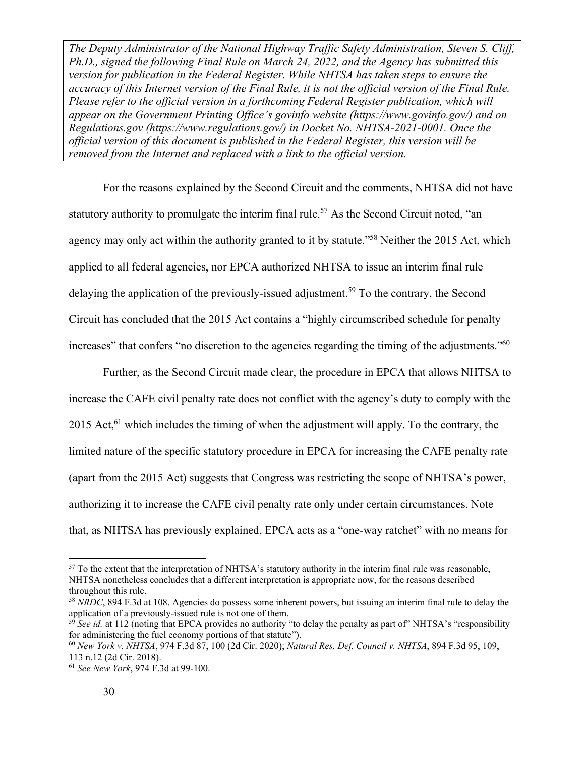For the reasons explained by the Second Circuit and the comments, NHTSA did not have statutory authority to promulgate the interim final rule.<sup>57</sup> As the Second Circuit noted, "an agency may only act within the authority granted to it by statute."<sup>58</sup> Neither the 2015 Act, which applied to all federal agencies, nor EPCA authorized NHTSA to issue an interim final rule delaying the application of the previously-issued adjustment.<sup>59</sup> To the contrary, the Second Circuit has concluded that the 2015 Act contains a "highly circumscribed schedule for penalty increases" that confers "no discretion to the agencies regarding the timing of the adjustments."<sup>60</sup>

Further, as the Second Circuit made clear, the procedure in EPCA that allows NHTSA to increase the CAFE civil penalty rate does not conflict with the agency's duty to comply with the 2015 Act, $61$  which includes the timing of when the adjustment will apply. To the contrary, the limited nature of the specific statutory procedure in EPCA for increasing the CAFE penalty rate (apart from the 2015 Act) suggests that Congress was restricting the scope of NHTSA's power, authorizing it to increase the CAFE civil penalty rate only under certain circumstances. Note that, as NHTSA has previously explained, EPCA acts as a "one-way ratchet" with no means for

<sup>&</sup>lt;sup>57</sup> To the extent that the interpretation of NHTSA's statutory authority in the interim final rule was reasonable, NHTSA nonetheless concludes that a different interpretation is appropriate now, for the reasons described throughout this rule.

<sup>58</sup> *NRDC*, 894 F.3d at 108. Agencies do possess some inherent powers, but issuing an interim final rule to delay the application of a previously-issued rule is not one of them.

<sup>&</sup>lt;sup>59</sup> See id. at 112 (noting that EPCA provides no authority "to delay the penalty as part of" NHTSA's "responsibility for administering the fuel economy portions of that statute").

<sup>60</sup> *New York v. NHTSA*, 974 F.3d 87, 100 (2d Cir. 2020); *Natural Res. Def. Council v. NHTSA*, 894 F.3d 95, 109, 113 n.12 (2d Cir. 2018).

<sup>61</sup> *See New York*, 974 F.3d at 99-100.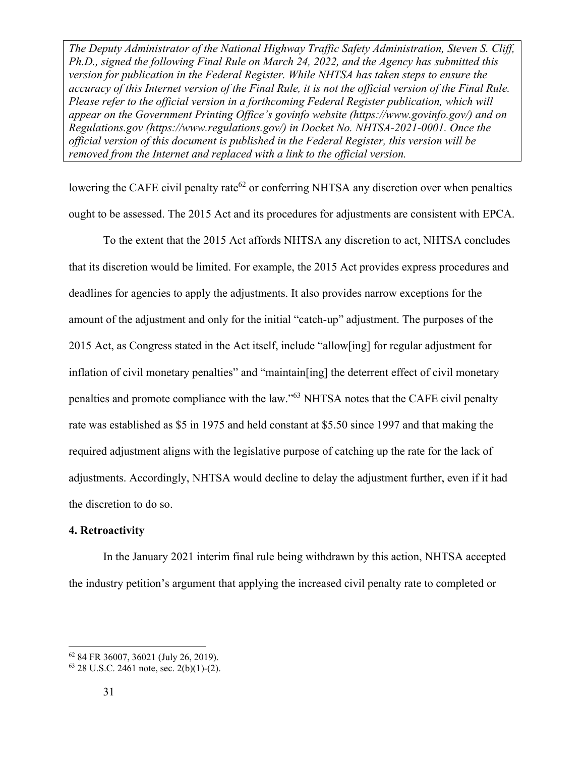lowering the CAFE civil penalty rate<sup> $62$ </sup> or conferring NHTSA any discretion over when penalties ought to be assessed. The 2015 Act and its procedures for adjustments are consistent with EPCA.

To the extent that the 2015 Act affords NHTSA any discretion to act, NHTSA concludes that its discretion would be limited. For example, the 2015 Act provides express procedures and deadlines for agencies to apply the adjustments. It also provides narrow exceptions for the amount of the adjustment and only for the initial "catch-up" adjustment. The purposes of the 2015 Act, as Congress stated in the Act itself, include "allow[ing] for regular adjustment for inflation of civil monetary penalties" and "maintain[ing] the deterrent effect of civil monetary penalties and promote compliance with the law."63 NHTSA notes that the CAFE civil penalty rate was established as \$5 in 1975 and held constant at \$5.50 since 1997 and that making the required adjustment aligns with the legislative purpose of catching up the rate for the lack of adjustments. Accordingly, NHTSA would decline to delay the adjustment further, even if it had the discretion to do so.

#### **4. Retroactivity**

In the January 2021 interim final rule being withdrawn by this action, NHTSA accepted the industry petition's argument that applying the increased civil penalty rate to completed or

<sup>62 84</sup> FR 36007, 36021 (July 26, 2019).

 $63$  28 U.S.C. 2461 note, sec. 2(b)(1)-(2).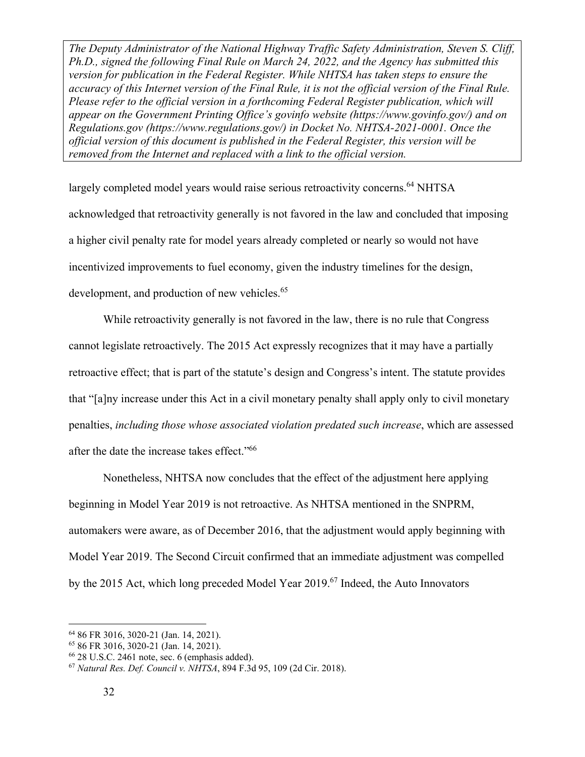largely completed model years would raise serious retroactivity concerns.<sup>64</sup> NHTSA acknowledged that retroactivity generally is not favored in the law and concluded that imposing a higher civil penalty rate for model years already completed or nearly so would not have incentivized improvements to fuel economy, given the industry timelines for the design, development, and production of new vehicles.<sup>65</sup>

While retroactivity generally is not favored in the law, there is no rule that Congress cannot legislate retroactively. The 2015 Act expressly recognizes that it may have a partially retroactive effect; that is part of the statute's design and Congress's intent. The statute provides that "[a]ny increase under this Act in a civil monetary penalty shall apply only to civil monetary penalties, *including those whose associated violation predated such increase*, which are assessed after the date the increase takes effect."66

Nonetheless, NHTSA now concludes that the effect of the adjustment here applying beginning in Model Year 2019 is not retroactive. As NHTSA mentioned in the SNPRM, automakers were aware, as of December 2016, that the adjustment would apply beginning with Model Year 2019. The Second Circuit confirmed that an immediate adjustment was compelled by the 2015 Act, which long preceded Model Year 2019.<sup>67</sup> Indeed, the Auto Innovators

<sup>64 86</sup> FR 3016, 3020-21 (Jan. 14, 2021).

<sup>65 86</sup> FR 3016, 3020-21 (Jan. 14, 2021).

<sup>66 28</sup> U.S.C. 2461 note, sec. 6 (emphasis added).

<sup>67</sup> *Natural Res. Def. Council v. NHTSA*, 894 F.3d 95, 109 (2d Cir. 2018).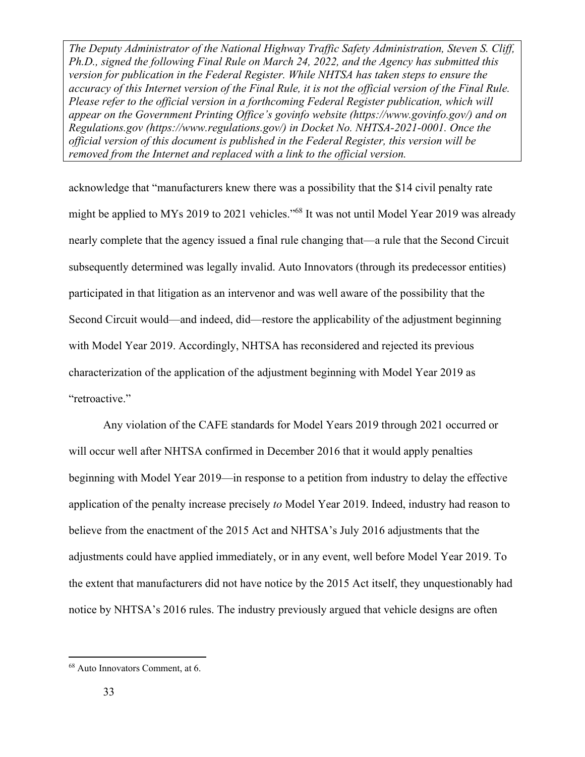acknowledge that "manufacturers knew there was a possibility that the \$14 civil penalty rate might be applied to MYs 2019 to 2021 vehicles."68 It was not until Model Year 2019 was already nearly complete that the agency issued a final rule changing that—a rule that the Second Circuit subsequently determined was legally invalid. Auto Innovators (through its predecessor entities) participated in that litigation as an intervenor and was well aware of the possibility that the Second Circuit would—and indeed, did—restore the applicability of the adjustment beginning with Model Year 2019. Accordingly, NHTSA has reconsidered and rejected its previous characterization of the application of the adjustment beginning with Model Year 2019 as "retroactive."

Any violation of the CAFE standards for Model Years 2019 through 2021 occurred or will occur well after NHTSA confirmed in December 2016 that it would apply penalties beginning with Model Year 2019—in response to a petition from industry to delay the effective application of the penalty increase precisely *to* Model Year 2019. Indeed, industry had reason to believe from the enactment of the 2015 Act and NHTSA's July 2016 adjustments that the adjustments could have applied immediately, or in any event, well before Model Year 2019. To the extent that manufacturers did not have notice by the 2015 Act itself, they unquestionably had notice by NHTSA's 2016 rules. The industry previously argued that vehicle designs are often

<sup>68</sup> Auto Innovators Comment, at 6.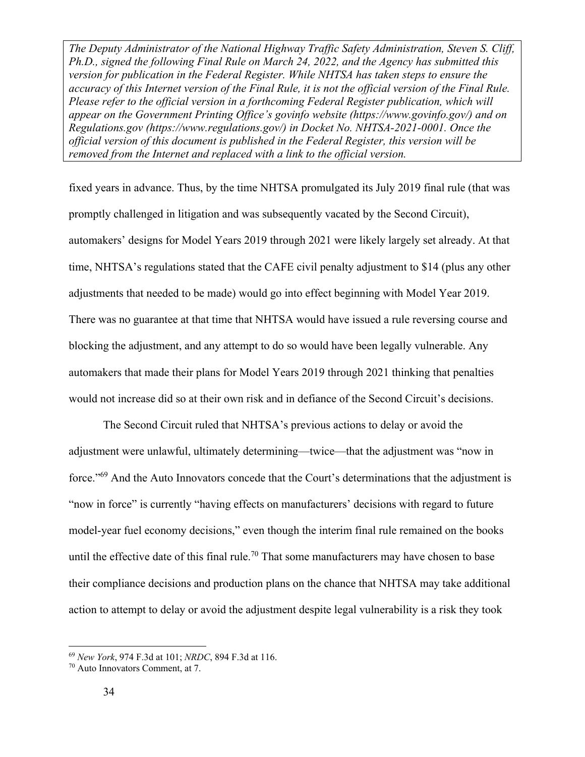fixed years in advance. Thus, by the time NHTSA promulgated its July 2019 final rule (that was promptly challenged in litigation and was subsequently vacated by the Second Circuit), automakers' designs for Model Years 2019 through 2021 were likely largely set already. At that time, NHTSA's regulations stated that the CAFE civil penalty adjustment to \$14 (plus any other adjustments that needed to be made) would go into effect beginning with Model Year 2019. There was no guarantee at that time that NHTSA would have issued a rule reversing course and blocking the adjustment, and any attempt to do so would have been legally vulnerable. Any automakers that made their plans for Model Years 2019 through 2021 thinking that penalties would not increase did so at their own risk and in defiance of the Second Circuit's decisions.

The Second Circuit ruled that NHTSA's previous actions to delay or avoid the adjustment were unlawful, ultimately determining—twice—that the adjustment was "now in force."<sup>69</sup> And the Auto Innovators concede that the Court's determinations that the adjustment is "now in force" is currently "having effects on manufacturers' decisions with regard to future model-year fuel economy decisions," even though the interim final rule remained on the books until the effective date of this final rule.<sup>70</sup> That some manufacturers may have chosen to base their compliance decisions and production plans on the chance that NHTSA may take additional action to attempt to delay or avoid the adjustment despite legal vulnerability is a risk they took

<sup>69</sup> *New York*, 974 F.3d at 101; *NRDC*, 894 F.3d at 116. 70 Auto Innovators Comment, at 7.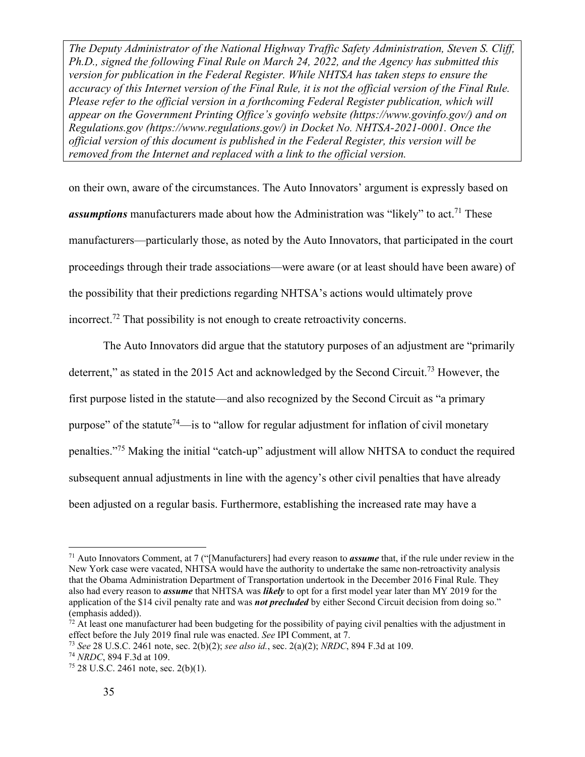on their own, aware of the circumstances. The Auto Innovators' argument is expressly based on *assumptions* manufacturers made about how the Administration was "likely" to act.<sup>71</sup> These manufacturers—particularly those, as noted by the Auto Innovators, that participated in the court proceedings through their trade associations—were aware (or at least should have been aware) of the possibility that their predictions regarding NHTSA's actions would ultimately prove incorrect.72 That possibility is not enough to create retroactivity concerns.

The Auto Innovators did argue that the statutory purposes of an adjustment are "primarily deterrent," as stated in the 2015 Act and acknowledged by the Second Circuit.<sup>73</sup> However, the first purpose listed in the statute—and also recognized by the Second Circuit as "a primary purpose" of the statute<sup>74</sup>—is to "allow for regular adjustment for inflation of civil monetary penalties."75 Making the initial "catch-up" adjustment will allow NHTSA to conduct the required subsequent annual adjustments in line with the agency's other civil penalties that have already been adjusted on a regular basis. Furthermore, establishing the increased rate may have a

<sup>71</sup> Auto Innovators Comment, at 7 ("[Manufacturers] had every reason to *assume* that, if the rule under review in the New York case were vacated, NHTSA would have the authority to undertake the same non-retroactivity analysis that the Obama Administration Department of Transportation undertook in the December 2016 Final Rule. They also had every reason to *assume* that NHTSA was *likely* to opt for a first model year later than MY 2019 for the application of the \$14 civil penalty rate and was *not precluded* by either Second Circuit decision from doing so." (emphasis added)).

 $72$  At least one manufacturer had been budgeting for the possibility of paying civil penalties with the adjustment in effect before the July 2019 final rule was enacted. *See* IPI Comment, at 7.<br><sup>73</sup> *See* 28 U.S.C. 2461 note, sec. 2(b)(2); *see also id.*, sec. 2(a)(2); *NRDC*, 894 F.3d at 109.<br><sup>74</sup> *NRDC*, 894 F.3d at 109.<br><sup>75</sup> 28 U.S.C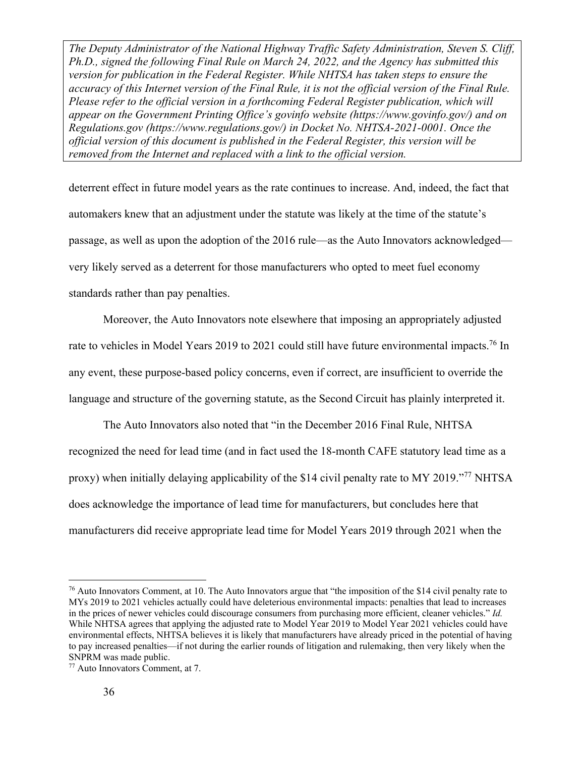deterrent effect in future model years as the rate continues to increase. And, indeed, the fact that automakers knew that an adjustment under the statute was likely at the time of the statute's passage, as well as upon the adoption of the 2016 rule—as the Auto Innovators acknowledged very likely served as a deterrent for those manufacturers who opted to meet fuel economy standards rather than pay penalties.

Moreover, the Auto Innovators note elsewhere that imposing an appropriately adjusted rate to vehicles in Model Years 2019 to 2021 could still have future environmental impacts.<sup>76</sup> In any event, these purpose-based policy concerns, even if correct, are insufficient to override the language and structure of the governing statute, as the Second Circuit has plainly interpreted it.

The Auto Innovators also noted that "in the December 2016 Final Rule, NHTSA recognized the need for lead time (and in fact used the 18-month CAFE statutory lead time as a proxy) when initially delaying applicability of the \$14 civil penalty rate to MY 2019."77 NHTSA does acknowledge the importance of lead time for manufacturers, but concludes here that manufacturers did receive appropriate lead time for Model Years 2019 through 2021 when the

<sup>&</sup>lt;sup>76</sup> Auto Innovators Comment, at 10. The Auto Innovators argue that "the imposition of the \$14 civil penalty rate to MYs 2019 to 2021 vehicles actually could have deleterious environmental impacts: penalties that lead to increases in the prices of newer vehicles could discourage consumers from purchasing more efficient, cleaner vehicles." *Id.* While NHTSA agrees that applying the adjusted rate to Model Year 2019 to Model Year 2021 vehicles could have environmental effects, NHTSA believes it is likely that manufacturers have already priced in the potential of having to pay increased penalties—if not during the earlier rounds of litigation and rulemaking, then very likely when the SNPRM was made public.

<sup>77</sup> Auto Innovators Comment, at 7.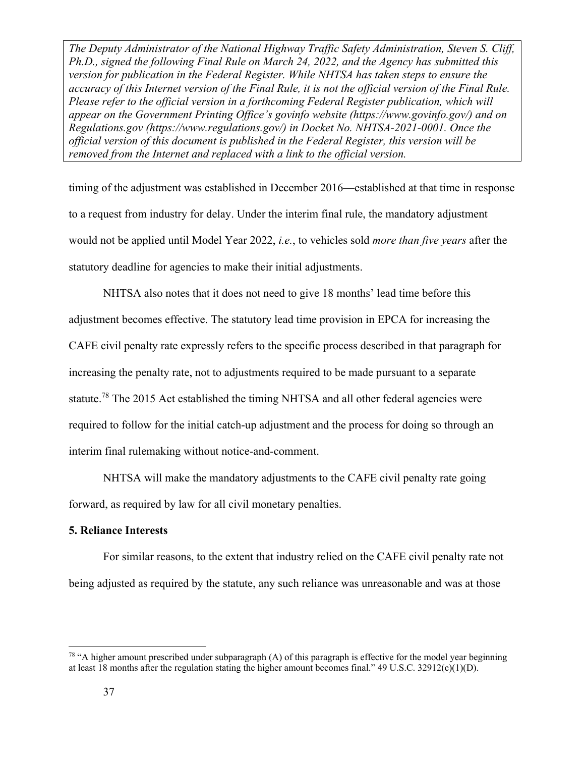timing of the adjustment was established in December 2016—established at that time in response to a request from industry for delay. Under the interim final rule, the mandatory adjustment would not be applied until Model Year 2022, *i.e.*, to vehicles sold *more than five years* after the statutory deadline for agencies to make their initial adjustments.

NHTSA also notes that it does not need to give 18 months' lead time before this adjustment becomes effective. The statutory lead time provision in EPCA for increasing the CAFE civil penalty rate expressly refers to the specific process described in that paragraph for increasing the penalty rate, not to adjustments required to be made pursuant to a separate statute.<sup>78</sup> The 2015 Act established the timing NHTSA and all other federal agencies were required to follow for the initial catch-up adjustment and the process for doing so through an interim final rulemaking without notice-and-comment.

NHTSA will make the mandatory adjustments to the CAFE civil penalty rate going forward, as required by law for all civil monetary penalties.

#### **5. Reliance Interests**

For similar reasons, to the extent that industry relied on the CAFE civil penalty rate not being adjusted as required by the statute, any such reliance was unreasonable and was at those

 $78$  "A higher amount prescribed under subparagraph (A) of this paragraph is effective for the model year beginning at least 18 months after the regulation stating the higher amount becomes final." 49 U.S.C. 32912(c)(1)(D).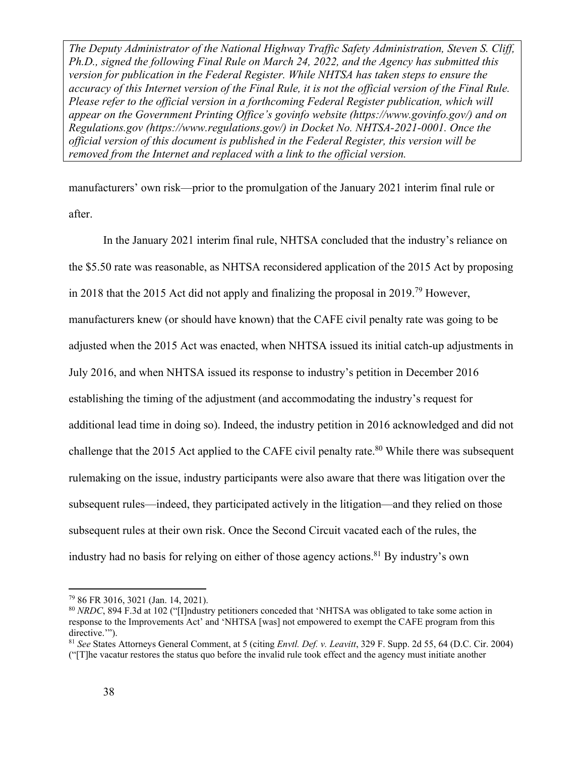manufacturers' own risk—prior to the promulgation of the January 2021 interim final rule or after.

In the January 2021 interim final rule, NHTSA concluded that the industry's reliance on the \$5.50 rate was reasonable, as NHTSA reconsidered application of the 2015 Act by proposing in 2018 that the 2015 Act did not apply and finalizing the proposal in 2019.79 However, manufacturers knew (or should have known) that the CAFE civil penalty rate was going to be adjusted when the 2015 Act was enacted, when NHTSA issued its initial catch-up adjustments in July 2016, and when NHTSA issued its response to industry's petition in December 2016 establishing the timing of the adjustment (and accommodating the industry's request for additional lead time in doing so). Indeed, the industry petition in 2016 acknowledged and did not challenge that the 2015 Act applied to the CAFE civil penalty rate.<sup>80</sup> While there was subsequent rulemaking on the issue, industry participants were also aware that there was litigation over the subsequent rules—indeed, they participated actively in the litigation—and they relied on those subsequent rules at their own risk. Once the Second Circuit vacated each of the rules, the industry had no basis for relying on either of those agency actions.<sup>81</sup> By industry's own

<sup>79 86</sup> FR 3016, 3021 (Jan. 14, 2021).

<sup>80</sup> *NRDC*, 894 F.3d at 102 ("[I]ndustry petitioners conceded that 'NHTSA was obligated to take some action in response to the Improvements Act' and 'NHTSA [was] not empowered to exempt the CAFE program from this directive."").

<sup>81</sup> *See* States Attorneys General Comment, at 5 (citing *Envtl. Def. v. Leavitt*, 329 F. Supp. 2d 55, 64 (D.C. Cir. 2004) ("[T]he vacatur restores the status quo before the invalid rule took effect and the agency must initiate another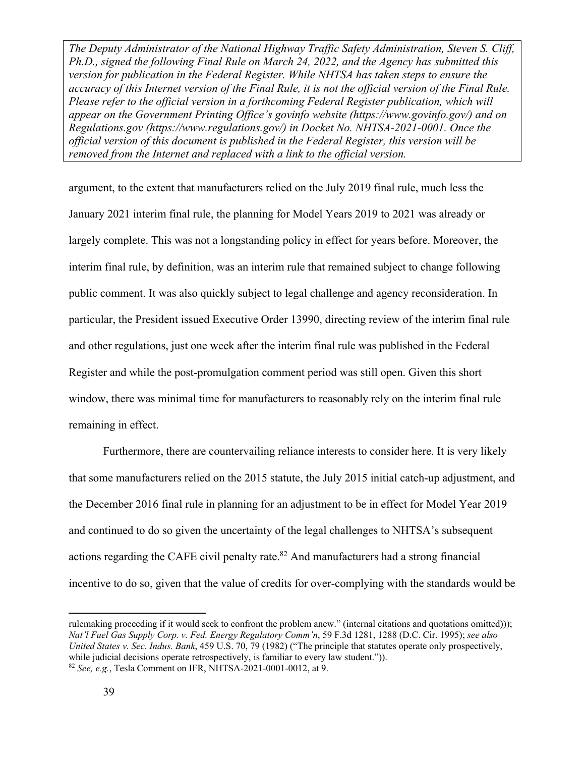argument, to the extent that manufacturers relied on the July 2019 final rule, much less the January 2021 interim final rule, the planning for Model Years 2019 to 2021 was already or largely complete. This was not a longstanding policy in effect for years before. Moreover, the interim final rule, by definition, was an interim rule that remained subject to change following public comment. It was also quickly subject to legal challenge and agency reconsideration. In particular, the President issued Executive Order 13990, directing review of the interim final rule and other regulations, just one week after the interim final rule was published in the Federal Register and while the post-promulgation comment period was still open. Given this short window, there was minimal time for manufacturers to reasonably rely on the interim final rule remaining in effect.

Furthermore, there are countervailing reliance interests to consider here. It is very likely that some manufacturers relied on the 2015 statute, the July 2015 initial catch-up adjustment, and the December 2016 final rule in planning for an adjustment to be in effect for Model Year 2019 and continued to do so given the uncertainty of the legal challenges to NHTSA's subsequent actions regarding the CAFE civil penalty rate. $82$  And manufacturers had a strong financial incentive to do so, given that the value of credits for over-complying with the standards would be

rulemaking proceeding if it would seek to confront the problem anew." (internal citations and quotations omitted))); *Nat'l Fuel Gas Supply Corp. v. Fed. Energy Regulatory Comm'n*, 59 F.3d 1281, 1288 (D.C. Cir. 1995); *see also United States v. Sec. Indus. Bank*, 459 U.S. 70, 79 (1982) ("The principle that statutes operate only prospectively, while judicial decisions operate retrospectively, is familiar to every law student.")). <sup>82</sup> *See, e.g.*, Tesla Comment on IFR, NHTSA-2021-0001-0012, at 9.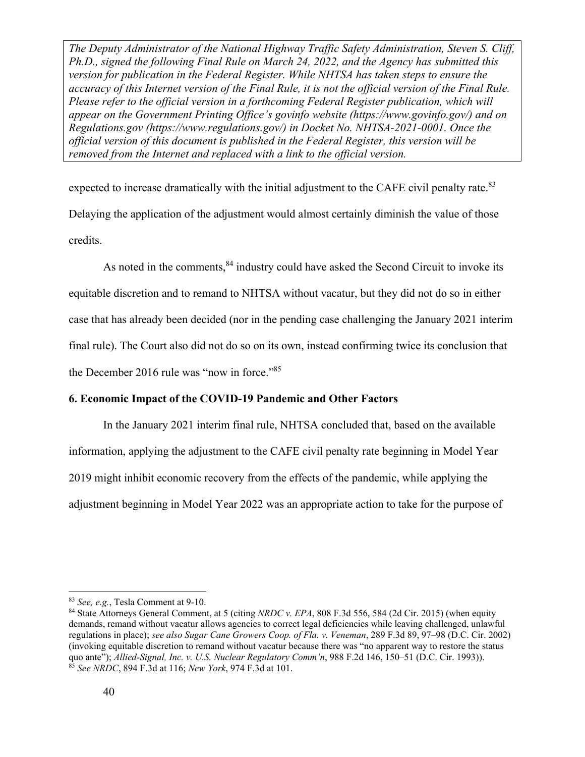expected to increase dramatically with the initial adjustment to the CAFE civil penalty rate.<sup>83</sup> Delaying the application of the adjustment would almost certainly diminish the value of those credits.

As noted in the comments, <sup>84</sup> industry could have asked the Second Circuit to invoke its equitable discretion and to remand to NHTSA without vacatur, but they did not do so in either case that has already been decided (nor in the pending case challenging the January 2021 interim final rule). The Court also did not do so on its own, instead confirming twice its conclusion that the December 2016 rule was "now in force."<sup>85</sup>

#### **6. Economic Impact of the COVID-19 Pandemic and Other Factors**

In the January 2021 interim final rule, NHTSA concluded that, based on the available information, applying the adjustment to the CAFE civil penalty rate beginning in Model Year 2019 might inhibit economic recovery from the effects of the pandemic, while applying the adjustment beginning in Model Year 2022 was an appropriate action to take for the purpose of

<sup>&</sup>lt;sup>83</sup> *See, e.g.*, Tesla Comment at 9-10.<br><sup>84</sup> State Attorneys General Comment, at 5 (citing *NRDC v. EPA*, 808 F.3d 556, 584 (2d Cir. 2015) (when equity demands, remand without vacatur allows agencies to correct legal deficiencies while leaving challenged, unlawful regulations in place); *see also Sugar Cane Growers Coop. of Fla. v. Veneman*, 289 F.3d 89, 97–98 (D.C. Cir. 2002) (invoking equitable discretion to remand without vacatur because there was "no apparent way to restore the status quo ante"); *Allied-Signal, Inc. v. U.S. Nuclear Regulatory Comm'n*, 988 F.2d 146, 150–51 (D.C. Cir. 1993)). 85 *See NRDC*, 894 F.3d at 116; *New York*, 974 F.3d at 101.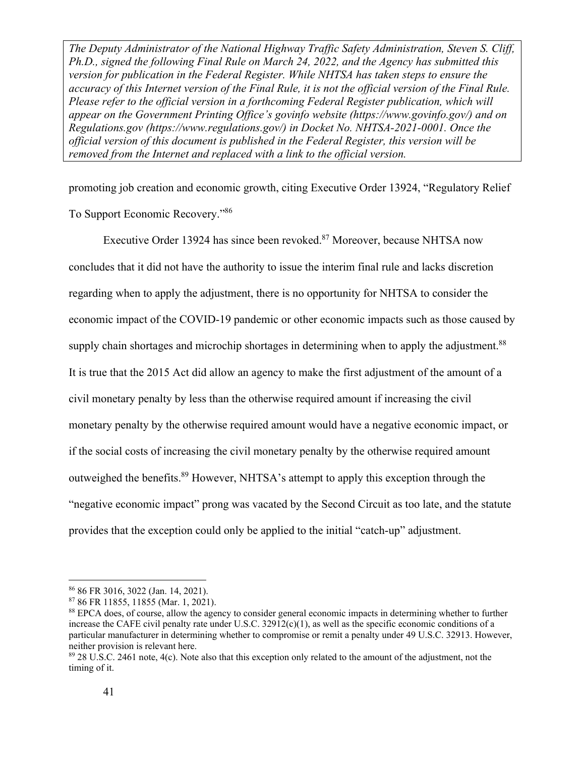promoting job creation and economic growth, citing Executive Order 13924, "Regulatory Relief To Support Economic Recovery."86

Executive Order 13924 has since been revoked.87 Moreover, because NHTSA now concludes that it did not have the authority to issue the interim final rule and lacks discretion regarding when to apply the adjustment, there is no opportunity for NHTSA to consider the economic impact of the COVID-19 pandemic or other economic impacts such as those caused by supply chain shortages and microchip shortages in determining when to apply the adjustment.<sup>88</sup> It is true that the 2015 Act did allow an agency to make the first adjustment of the amount of a civil monetary penalty by less than the otherwise required amount if increasing the civil monetary penalty by the otherwise required amount would have a negative economic impact, or if the social costs of increasing the civil monetary penalty by the otherwise required amount outweighed the benefits.<sup>89</sup> However, NHTSA's attempt to apply this exception through the "negative economic impact" prong was vacated by the Second Circuit as too late, and the statute provides that the exception could only be applied to the initial "catch-up" adjustment.

<sup>86 86</sup> FR 3016, 3022 (Jan. 14, 2021).

<sup>87 86</sup> FR 11855, 11855 (Mar. 1, 2021).

<sup>88</sup> EPCA does, of course, allow the agency to consider general economic impacts in determining whether to further increase the CAFE civil penalty rate under U.S.C.  $32912(c)(1)$ , as well as the specific economic conditions of a particular manufacturer in determining whether to compromise or remit a penalty under 49 U.S.C. 32913. However, neither provision is relevant here.

<sup>&</sup>lt;sup>89</sup> 28 U.S.C. 2461 note, 4(c). Note also that this exception only related to the amount of the adjustment, not the timing of it.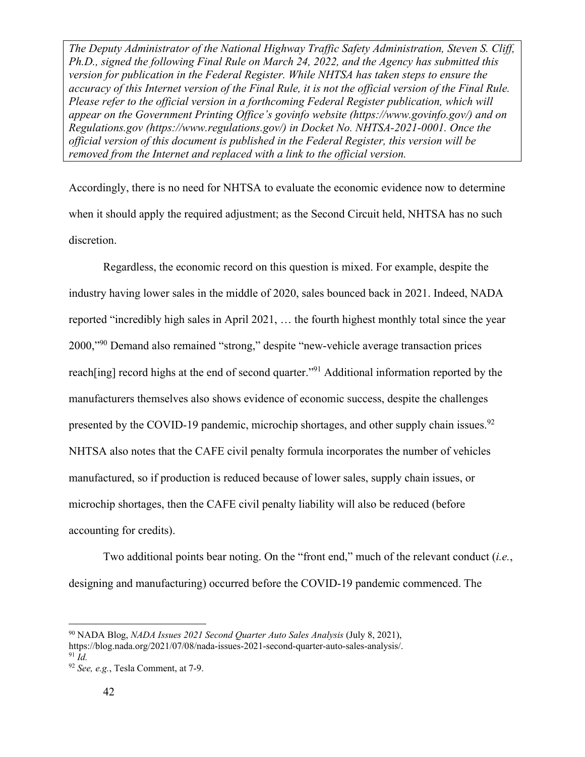Accordingly, there is no need for NHTSA to evaluate the economic evidence now to determine when it should apply the required adjustment; as the Second Circuit held, NHTSA has no such discretion.

 Regardless, the economic record on this question is mixed. For example, despite the industry having lower sales in the middle of 2020, sales bounced back in 2021. Indeed, NADA reported "incredibly high sales in April 2021, … the fourth highest monthly total since the year 2000,"90 Demand also remained "strong," despite "new-vehicle average transaction prices reach [ing] record highs at the end of second quarter.<sup>"91</sup> Additional information reported by the manufacturers themselves also shows evidence of economic success, despite the challenges presented by the COVID-19 pandemic, microchip shortages, and other supply chain issues. $92$ NHTSA also notes that the CAFE civil penalty formula incorporates the number of vehicles manufactured, so if production is reduced because of lower sales, supply chain issues, or microchip shortages, then the CAFE civil penalty liability will also be reduced (before accounting for credits).

Two additional points bear noting. On the "front end," much of the relevant conduct (*i.e.*, designing and manufacturing) occurred before the COVID-19 pandemic commenced. The

90 NADA Blog, *NADA Issues 2021 Second Quarter Auto Sales Analysis* (July 8, 2021),

https://blog.nada.org/2021/07/08/nada-issues-2021-second-quarter-auto-sales-analysis/. 91 *Id.* 

<sup>92</sup> *See, e.g.*, Tesla Comment, at 7-9.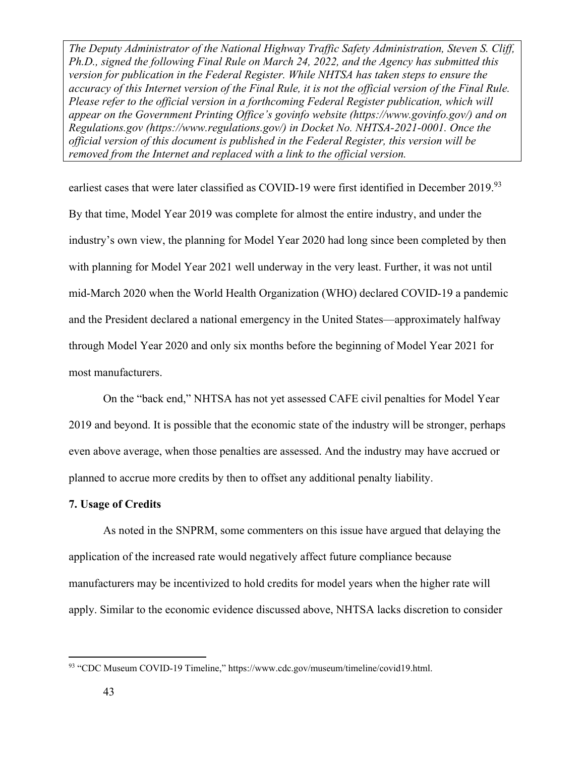earliest cases that were later classified as COVID-19 were first identified in December 2019.93 By that time, Model Year 2019 was complete for almost the entire industry, and under the industry's own view, the planning for Model Year 2020 had long since been completed by then with planning for Model Year 2021 well underway in the very least. Further, it was not until mid-March 2020 when the World Health Organization (WHO) declared COVID-19 a pandemic and the President declared a national emergency in the United States—approximately halfway through Model Year 2020 and only six months before the beginning of Model Year 2021 for most manufacturers.

On the "back end," NHTSA has not yet assessed CAFE civil penalties for Model Year 2019 and beyond. It is possible that the economic state of the industry will be stronger, perhaps even above average, when those penalties are assessed. And the industry may have accrued or planned to accrue more credits by then to offset any additional penalty liability.

#### **7. Usage of Credits**

As noted in the SNPRM, some commenters on this issue have argued that delaying the application of the increased rate would negatively affect future compliance because manufacturers may be incentivized to hold credits for model years when the higher rate will apply. Similar to the economic evidence discussed above, NHTSA lacks discretion to consider

<sup>93 &</sup>quot;CDC Museum COVID-19 Timeline," https://www.cdc.gov/museum/timeline/covid19.html.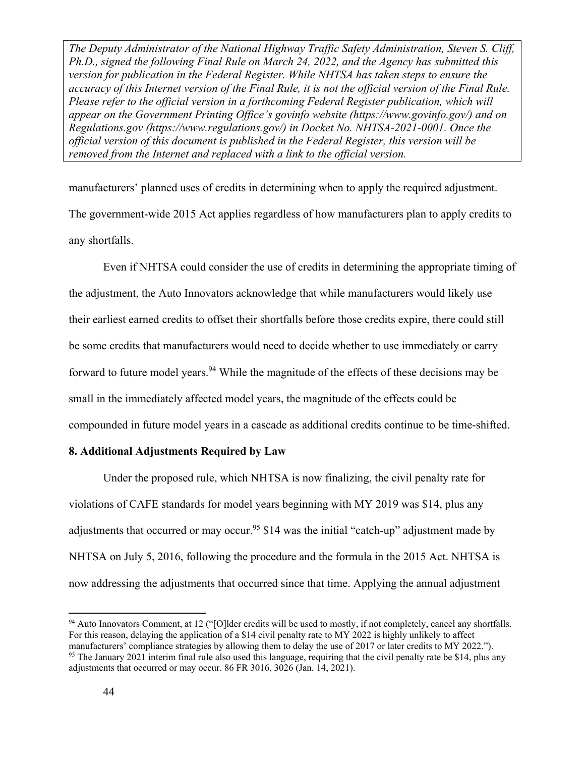manufacturers' planned uses of credits in determining when to apply the required adjustment. The government-wide 2015 Act applies regardless of how manufacturers plan to apply credits to any shortfalls.

Even if NHTSA could consider the use of credits in determining the appropriate timing of the adjustment, the Auto Innovators acknowledge that while manufacturers would likely use their earliest earned credits to offset their shortfalls before those credits expire, there could still be some credits that manufacturers would need to decide whether to use immediately or carry forward to future model years.<sup>94</sup> While the magnitude of the effects of these decisions may be small in the immediately affected model years, the magnitude of the effects could be compounded in future model years in a cascade as additional credits continue to be time-shifted.

## **8. Additional Adjustments Required by Law**

Under the proposed rule, which NHTSA is now finalizing, the civil penalty rate for violations of CAFE standards for model years beginning with MY 2019 was \$14, plus any adjustments that occurred or may occur.<sup>95</sup> \$14 was the initial "catch-up" adjustment made by NHTSA on July 5, 2016, following the procedure and the formula in the 2015 Act. NHTSA is now addressing the adjustments that occurred since that time. Applying the annual adjustment

<sup>94</sup> Auto Innovators Comment, at 12 ("[O]lder credits will be used to mostly, if not completely, cancel any shortfalls. For this reason, delaying the application of a \$14 civil penalty rate to MY 2022 is highly unlikely to affect manufacturers' compliance strategies by allowing them to delay the use of 2017 or later credits to MY 2022.").<br><sup>95</sup> The January 2021 interim final rule also used this language, requiring that the civil penalty rate be \$14, adjustments that occurred or may occur. 86 FR 3016, 3026 (Jan. 14, 2021).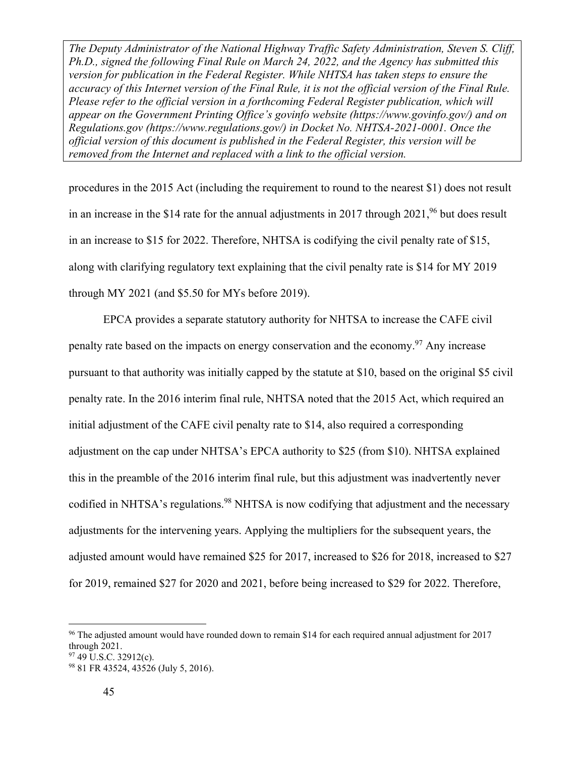procedures in the 2015 Act (including the requirement to round to the nearest \$1) does not result in an increase in the \$14 rate for the annual adjustments in 2017 through  $2021$ , <sup>96</sup> but does result in an increase to \$15 for 2022. Therefore, NHTSA is codifying the civil penalty rate of \$15, along with clarifying regulatory text explaining that the civil penalty rate is \$14 for MY 2019 through MY 2021 (and \$5.50 for MYs before 2019).

EPCA provides a separate statutory authority for NHTSA to increase the CAFE civil penalty rate based on the impacts on energy conservation and the economy.<sup>97</sup> Any increase pursuant to that authority was initially capped by the statute at \$10, based on the original \$5 civil penalty rate. In the 2016 interim final rule, NHTSA noted that the 2015 Act, which required an initial adjustment of the CAFE civil penalty rate to \$14, also required a corresponding adjustment on the cap under NHTSA's EPCA authority to \$25 (from \$10). NHTSA explained this in the preamble of the 2016 interim final rule, but this adjustment was inadvertently never codified in NHTSA's regulations.<sup>98</sup> NHTSA is now codifying that adjustment and the necessary adjustments for the intervening years. Applying the multipliers for the subsequent years, the adjusted amount would have remained \$25 for 2017, increased to \$26 for 2018, increased to \$27 for 2019, remained \$27 for 2020 and 2021, before being increased to \$29 for 2022. Therefore,

 $96$  The adjusted amount would have rounded down to remain \$14 for each required annual adjustment for 2017 through 2021.

 $97$  49 U.S.C. 32912(c).

<sup>98 81</sup> FR 43524, 43526 (July 5, 2016).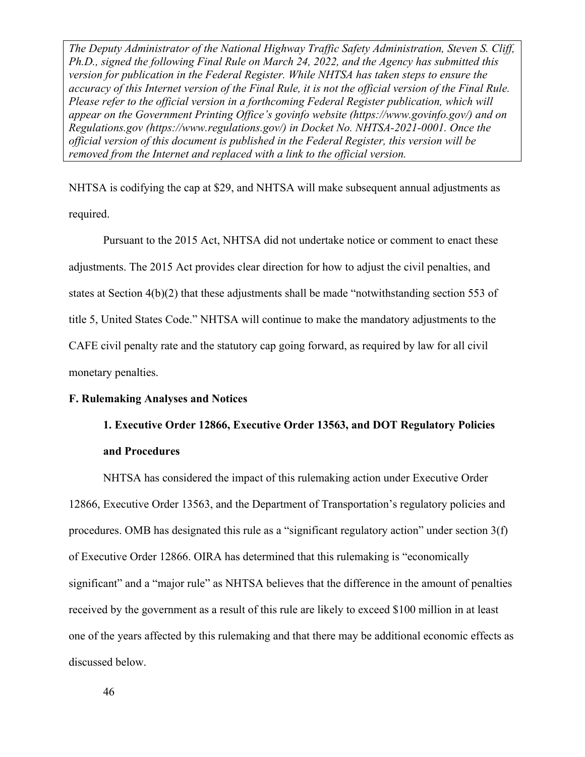NHTSA is codifying the cap at \$29, and NHTSA will make subsequent annual adjustments as required.

Pursuant to the 2015 Act, NHTSA did not undertake notice or comment to enact these adjustments. The 2015 Act provides clear direction for how to adjust the civil penalties, and states at Section 4(b)(2) that these adjustments shall be made "notwithstanding section 553 of title 5, United States Code." NHTSA will continue to make the mandatory adjustments to the CAFE civil penalty rate and the statutory cap going forward, as required by law for all civil monetary penalties.

#### **F. Rulemaking Analyses and Notices**

# **1. Executive Order 12866, Executive Order 13563, and DOT Regulatory Policies and Procedures**

NHTSA has considered the impact of this rulemaking action under Executive Order 12866, Executive Order 13563, and the Department of Transportation's regulatory policies and procedures. OMB has designated this rule as a "significant regulatory action" under section 3(f) of Executive Order 12866. OIRA has determined that this rulemaking is "economically significant" and a "major rule" as NHTSA believes that the difference in the amount of penalties received by the government as a result of this rule are likely to exceed \$100 million in at least one of the years affected by this rulemaking and that there may be additional economic effects as discussed below.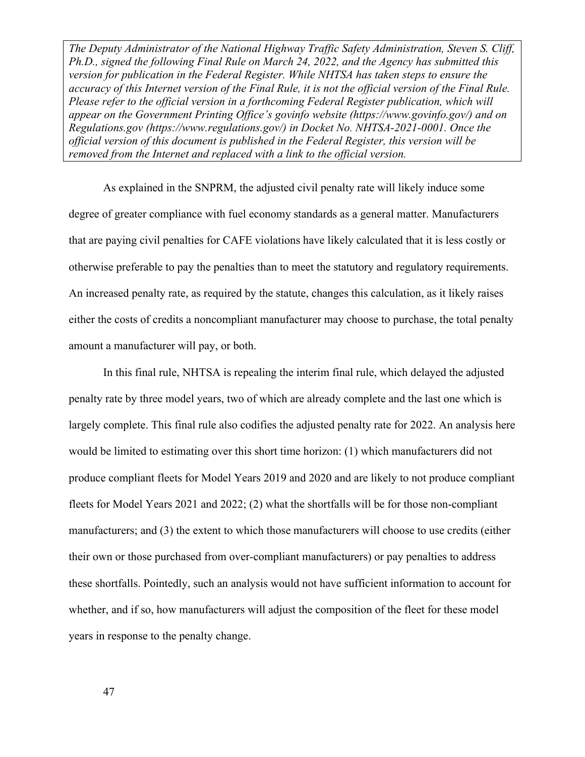As explained in the SNPRM, the adjusted civil penalty rate will likely induce some degree of greater compliance with fuel economy standards as a general matter. Manufacturers that are paying civil penalties for CAFE violations have likely calculated that it is less costly or otherwise preferable to pay the penalties than to meet the statutory and regulatory requirements. An increased penalty rate, as required by the statute, changes this calculation, as it likely raises either the costs of credits a noncompliant manufacturer may choose to purchase, the total penalty amount a manufacturer will pay, or both.

In this final rule, NHTSA is repealing the interim final rule, which delayed the adjusted penalty rate by three model years, two of which are already complete and the last one which is largely complete. This final rule also codifies the adjusted penalty rate for 2022. An analysis here would be limited to estimating over this short time horizon: (1) which manufacturers did not produce compliant fleets for Model Years 2019 and 2020 and are likely to not produce compliant fleets for Model Years 2021 and 2022; (2) what the shortfalls will be for those non-compliant manufacturers; and (3) the extent to which those manufacturers will choose to use credits (either their own or those purchased from over-compliant manufacturers) or pay penalties to address these shortfalls. Pointedly, such an analysis would not have sufficient information to account for whether, and if so, how manufacturers will adjust the composition of the fleet for these model years in response to the penalty change.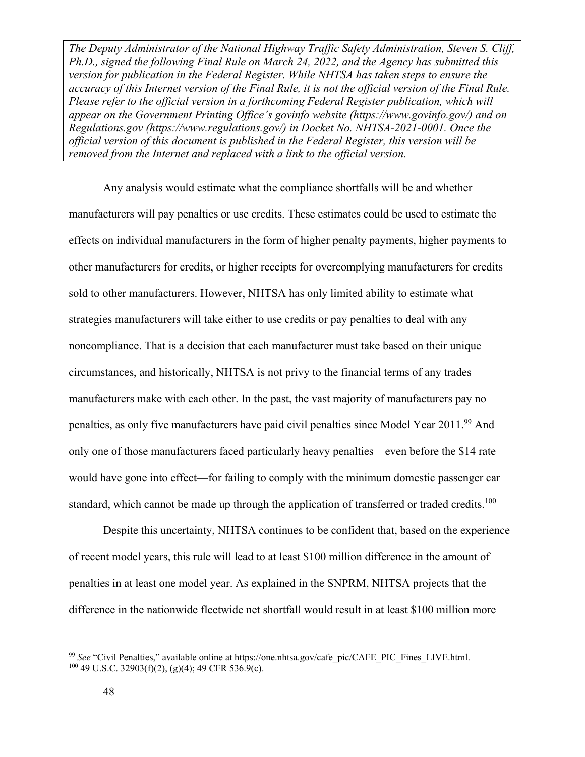Any analysis would estimate what the compliance shortfalls will be and whether manufacturers will pay penalties or use credits. These estimates could be used to estimate the effects on individual manufacturers in the form of higher penalty payments, higher payments to other manufacturers for credits, or higher receipts for overcomplying manufacturers for credits sold to other manufacturers. However, NHTSA has only limited ability to estimate what strategies manufacturers will take either to use credits or pay penalties to deal with any noncompliance. That is a decision that each manufacturer must take based on their unique circumstances, and historically, NHTSA is not privy to the financial terms of any trades manufacturers make with each other. In the past, the vast majority of manufacturers pay no penalties, as only five manufacturers have paid civil penalties since Model Year 2011.<sup>99</sup> And only one of those manufacturers faced particularly heavy penalties—even before the \$14 rate would have gone into effect—for failing to comply with the minimum domestic passenger car standard, which cannot be made up through the application of transferred or traded credits.<sup>100</sup>

Despite this uncertainty, NHTSA continues to be confident that, based on the experience of recent model years, this rule will lead to at least \$100 million difference in the amount of penalties in at least one model year. As explained in the SNPRM, NHTSA projects that the difference in the nationwide fleetwide net shortfall would result in at least \$100 million more

<sup>&</sup>lt;sup>99</sup> *See* "Civil Penalties," available online at https://one.nhtsa.gov/cafe\_pic/CAFE\_PIC\_Fines\_LIVE.html. <sup>100</sup> 49 U.S.C. 32903(f)(2), (g)(4); 49 CFR 536.9(c).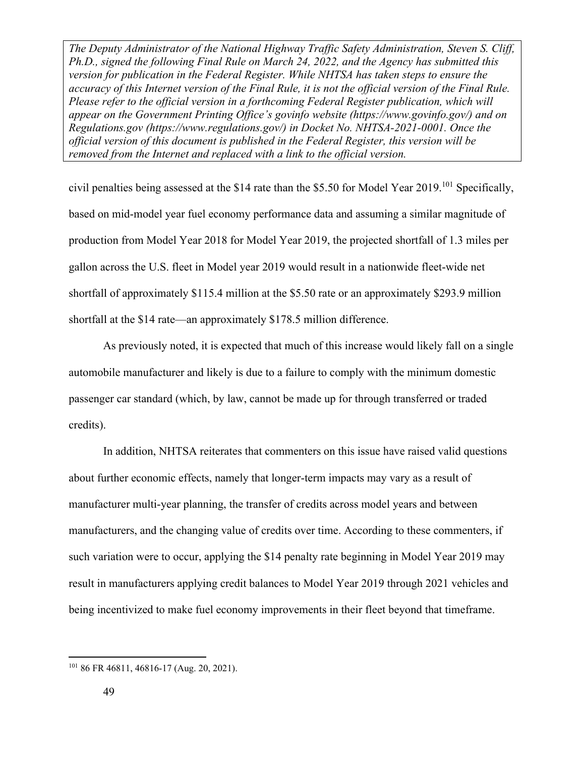civil penalties being assessed at the \$14 rate than the \$5.50 for Model Year 2019.<sup>101</sup> Specifically, based on mid-model year fuel economy performance data and assuming a similar magnitude of production from Model Year 2018 for Model Year 2019, the projected shortfall of 1.3 miles per gallon across the U.S. fleet in Model year 2019 would result in a nationwide fleet-wide net shortfall of approximately \$115.4 million at the \$5.50 rate or an approximately \$293.9 million shortfall at the \$14 rate—an approximately \$178.5 million difference.

As previously noted, it is expected that much of this increase would likely fall on a single automobile manufacturer and likely is due to a failure to comply with the minimum domestic passenger car standard (which, by law, cannot be made up for through transferred or traded credits).

In addition, NHTSA reiterates that commenters on this issue have raised valid questions about further economic effects, namely that longer-term impacts may vary as a result of manufacturer multi-year planning, the transfer of credits across model years and between manufacturers, and the changing value of credits over time. According to these commenters, if such variation were to occur, applying the \$14 penalty rate beginning in Model Year 2019 may result in manufacturers applying credit balances to Model Year 2019 through 2021 vehicles and being incentivized to make fuel economy improvements in their fleet beyond that timeframe.

<sup>101 86</sup> FR 46811, 46816-17 (Aug. 20, 2021).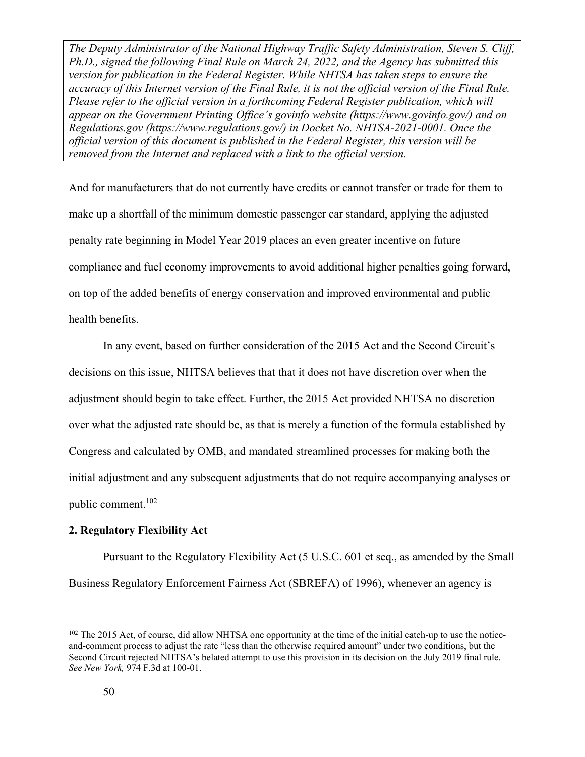And for manufacturers that do not currently have credits or cannot transfer or trade for them to make up a shortfall of the minimum domestic passenger car standard, applying the adjusted penalty rate beginning in Model Year 2019 places an even greater incentive on future compliance and fuel economy improvements to avoid additional higher penalties going forward, on top of the added benefits of energy conservation and improved environmental and public health benefits.

In any event, based on further consideration of the 2015 Act and the Second Circuit's decisions on this issue, NHTSA believes that that it does not have discretion over when the adjustment should begin to take effect. Further, the 2015 Act provided NHTSA no discretion over what the adjusted rate should be, as that is merely a function of the formula established by Congress and calculated by OMB, and mandated streamlined processes for making both the initial adjustment and any subsequent adjustments that do not require accompanying analyses or public comment.102

#### **2. Regulatory Flexibility Act**

Pursuant to the Regulatory Flexibility Act (5 U.S.C. 601 et seq., as amended by the Small Business Regulatory Enforcement Fairness Act (SBREFA) of 1996), whenever an agency is

 $102$  The 2015 Act, of course, did allow NHTSA one opportunity at the time of the initial catch-up to use the noticeand-comment process to adjust the rate "less than the otherwise required amount" under two conditions, but the Second Circuit rejected NHTSA's belated attempt to use this provision in its decision on the July 2019 final rule. *See New York,* 974 F.3d at 100-01.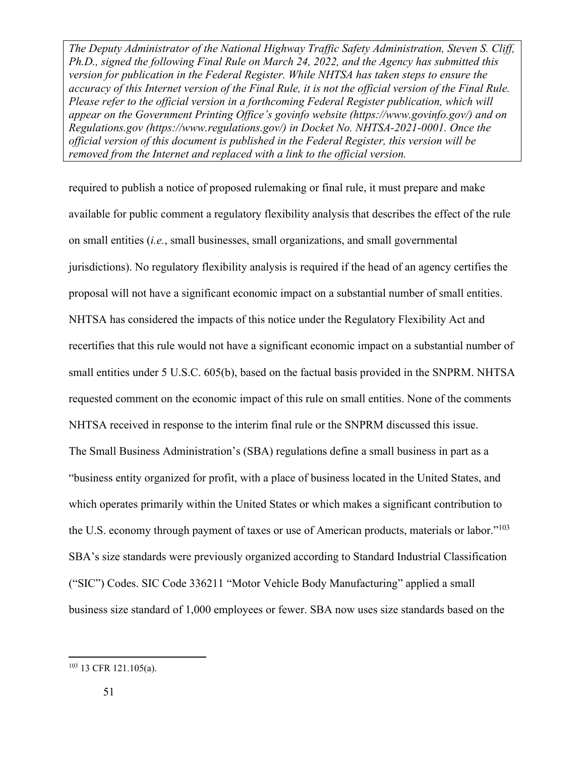required to publish a notice of proposed rulemaking or final rule, it must prepare and make available for public comment a regulatory flexibility analysis that describes the effect of the rule on small entities (*i.e.*, small businesses, small organizations, and small governmental jurisdictions). No regulatory flexibility analysis is required if the head of an agency certifies the proposal will not have a significant economic impact on a substantial number of small entities. NHTSA has considered the impacts of this notice under the Regulatory Flexibility Act and recertifies that this rule would not have a significant economic impact on a substantial number of small entities under 5 U.S.C. 605(b), based on the factual basis provided in the SNPRM. NHTSA requested comment on the economic impact of this rule on small entities. None of the comments NHTSA received in response to the interim final rule or the SNPRM discussed this issue. The Small Business Administration's (SBA) regulations define a small business in part as a "business entity organized for profit, with a place of business located in the United States, and which operates primarily within the United States or which makes a significant contribution to the U.S. economy through payment of taxes or use of American products, materials or labor."<sup>103</sup> SBA's size standards were previously organized according to Standard Industrial Classification ("SIC") Codes. SIC Code 336211 "Motor Vehicle Body Manufacturing" applied a small business size standard of 1,000 employees or fewer. SBA now uses size standards based on the

<sup>103 13</sup> CFR 121.105(a).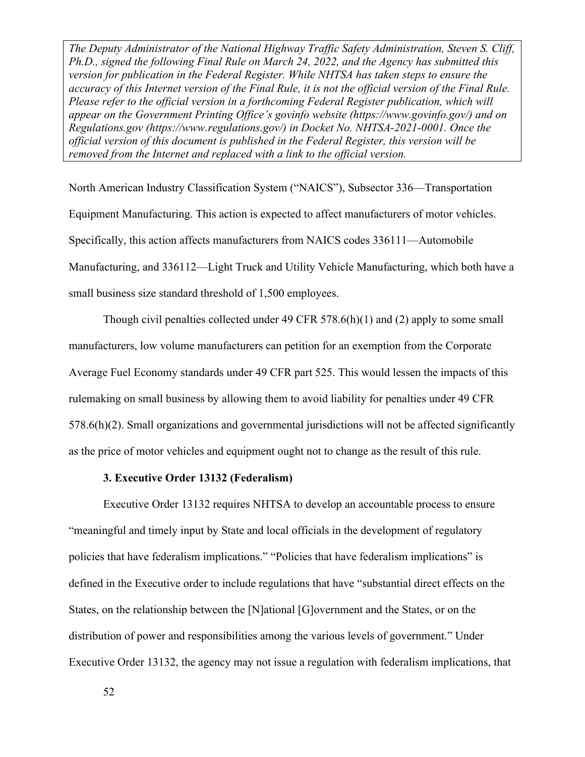North American Industry Classification System ("NAICS"), Subsector 336—Transportation Equipment Manufacturing. This action is expected to affect manufacturers of motor vehicles. Specifically, this action affects manufacturers from NAICS codes 336111—Automobile Manufacturing, and 336112—Light Truck and Utility Vehicle Manufacturing, which both have a small business size standard threshold of 1,500 employees.

Though civil penalties collected under 49 CFR 578.6(h)(1) and (2) apply to some small manufacturers, low volume manufacturers can petition for an exemption from the Corporate Average Fuel Economy standards under 49 CFR part 525. This would lessen the impacts of this rulemaking on small business by allowing them to avoid liability for penalties under 49 CFR 578.6(h)(2). Small organizations and governmental jurisdictions will not be affected significantly as the price of motor vehicles and equipment ought not to change as the result of this rule.

#### **3. Executive Order 13132 (Federalism)**

Executive Order 13132 requires NHTSA to develop an accountable process to ensure "meaningful and timely input by State and local officials in the development of regulatory policies that have federalism implications." "Policies that have federalism implications" is defined in the Executive order to include regulations that have "substantial direct effects on the States, on the relationship between the [N]ational [G]overnment and the States, or on the distribution of power and responsibilities among the various levels of government." Under Executive Order 13132, the agency may not issue a regulation with federalism implications, that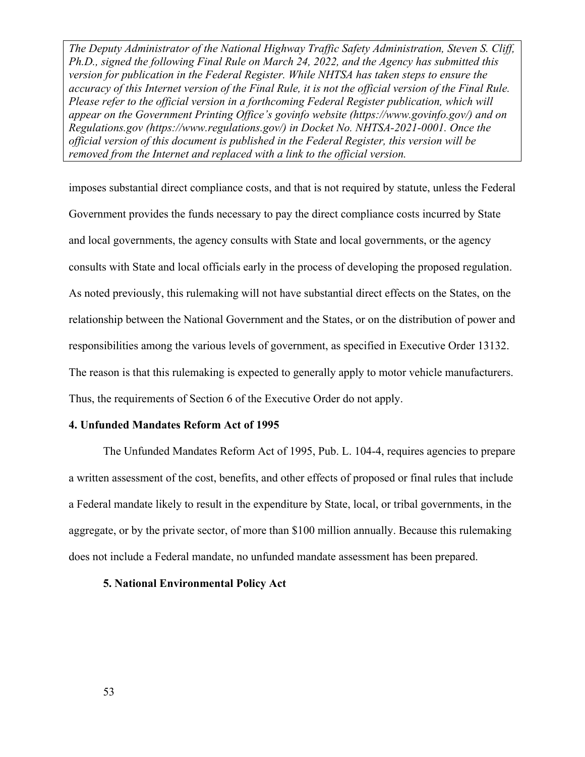imposes substantial direct compliance costs, and that is not required by statute, unless the Federal Government provides the funds necessary to pay the direct compliance costs incurred by State and local governments, the agency consults with State and local governments, or the agency consults with State and local officials early in the process of developing the proposed regulation. As noted previously, this rulemaking will not have substantial direct effects on the States, on the relationship between the National Government and the States, or on the distribution of power and responsibilities among the various levels of government, as specified in Executive Order 13132. The reason is that this rulemaking is expected to generally apply to motor vehicle manufacturers. Thus, the requirements of Section 6 of the Executive Order do not apply.

#### **4. Unfunded Mandates Reform Act of 1995**

The Unfunded Mandates Reform Act of 1995, Pub. L. 104-4, requires agencies to prepare a written assessment of the cost, benefits, and other effects of proposed or final rules that include a Federal mandate likely to result in the expenditure by State, local, or tribal governments, in the aggregate, or by the private sector, of more than \$100 million annually. Because this rulemaking does not include a Federal mandate, no unfunded mandate assessment has been prepared.

#### **5. National Environmental Policy Act**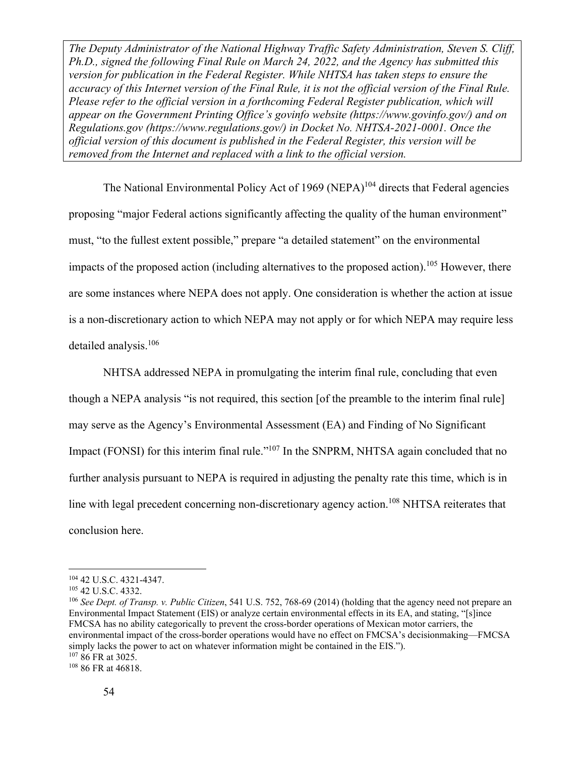The National Environmental Policy Act of 1969 (NEPA)<sup>104</sup> directs that Federal agencies proposing "major Federal actions significantly affecting the quality of the human environment" must, "to the fullest extent possible," prepare "a detailed statement" on the environmental impacts of the proposed action (including alternatives to the proposed action).<sup>105</sup> However, there are some instances where NEPA does not apply. One consideration is whether the action at issue is a non-discretionary action to which NEPA may not apply or for which NEPA may require less detailed analysis.106

NHTSA addressed NEPA in promulgating the interim final rule, concluding that even though a NEPA analysis "is not required, this section [of the preamble to the interim final rule] may serve as the Agency's Environmental Assessment (EA) and Finding of No Significant Impact (FONSI) for this interim final rule."<sup>107</sup> In the SNPRM, NHTSA again concluded that no further analysis pursuant to NEPA is required in adjusting the penalty rate this time, which is in line with legal precedent concerning non-discretionary agency action.<sup>108</sup> NHTSA reiterates that conclusion here.

<sup>104 42</sup> U.S.C. 4321-4347. 105 42 U.S.C. 4332. 106 *See Dept. of Transp. v. Public Citizen*, 541 U.S. 752, 768-69 (2014) (holding that the agency need not prepare an Environmental Impact Statement (EIS) or analyze certain environmental effects in its EA, and stating, "[s]ince FMCSA has no ability categorically to prevent the cross-border operations of Mexican motor carriers, the environmental impact of the cross-border operations would have no effect on FMCSA's decisionmaking—FMCSA simply lacks the power to act on whatever information might be contained in the EIS."). <sup>107</sup> 86 FR at 3025.<br><sup>108</sup> 86 FR at 46818.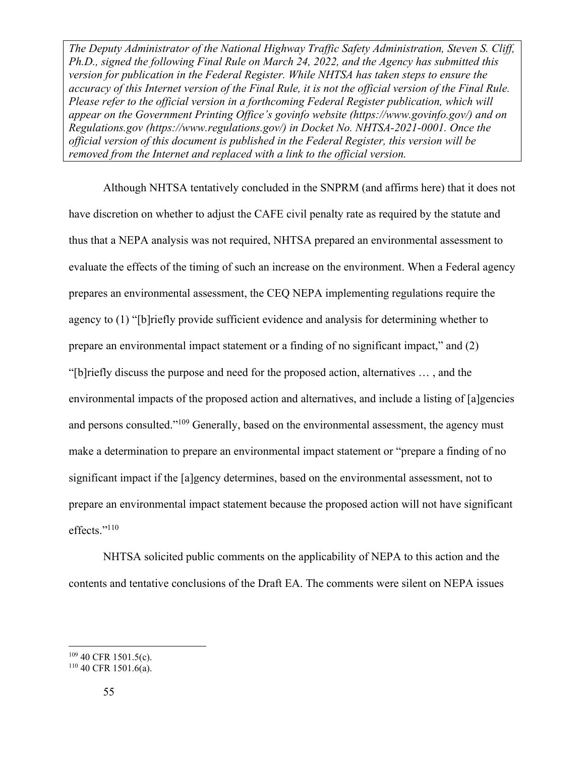Although NHTSA tentatively concluded in the SNPRM (and affirms here) that it does not have discretion on whether to adjust the CAFE civil penalty rate as required by the statute and thus that a NEPA analysis was not required, NHTSA prepared an environmental assessment to evaluate the effects of the timing of such an increase on the environment. When a Federal agency prepares an environmental assessment, the CEQ NEPA implementing regulations require the agency to (1) "[b]riefly provide sufficient evidence and analysis for determining whether to prepare an environmental impact statement or a finding of no significant impact," and (2) "[b]riefly discuss the purpose and need for the proposed action, alternatives … , and the environmental impacts of the proposed action and alternatives, and include a listing of [a]gencies and persons consulted."<sup>109</sup> Generally, based on the environmental assessment, the agency must make a determination to prepare an environmental impact statement or "prepare a finding of no significant impact if the [a]gency determines, based on the environmental assessment, not to prepare an environmental impact statement because the proposed action will not have significant effects."<sup>110</sup>

NHTSA solicited public comments on the applicability of NEPA to this action and the contents and tentative conclusions of the Draft EA. The comments were silent on NEPA issues

 $10940$  CFR 1501.5(c).<br> $11040$  CFR 1501.6(a).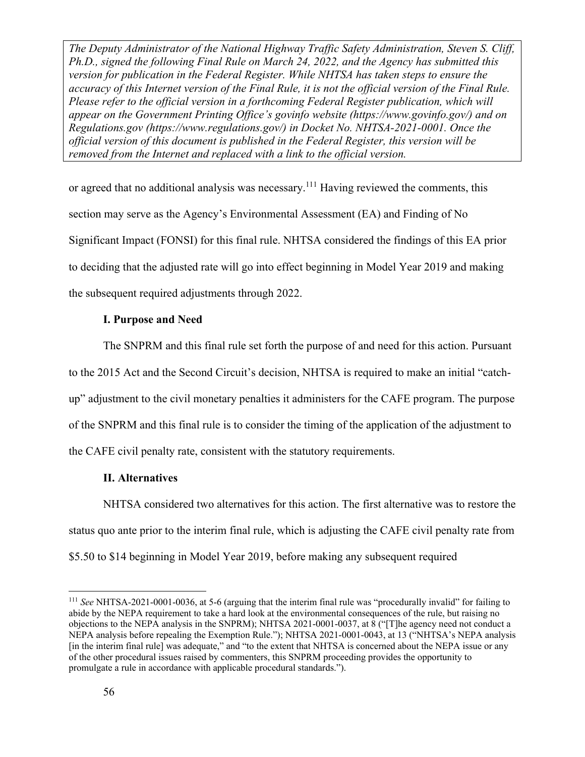or agreed that no additional analysis was necessary.<sup>111</sup> Having reviewed the comments, this section may serve as the Agency's Environmental Assessment (EA) and Finding of No Significant Impact (FONSI) for this final rule. NHTSA considered the findings of this EA prior to deciding that the adjusted rate will go into effect beginning in Model Year 2019 and making the subsequent required adjustments through 2022.

#### **I. Purpose and Need**

The SNPRM and this final rule set forth the purpose of and need for this action. Pursuant to the 2015 Act and the Second Circuit's decision, NHTSA is required to make an initial "catchup" adjustment to the civil monetary penalties it administers for the CAFE program. The purpose of the SNPRM and this final rule is to consider the timing of the application of the adjustment to the CAFE civil penalty rate, consistent with the statutory requirements.

## **II. Alternatives**

NHTSA considered two alternatives for this action. The first alternative was to restore the status quo ante prior to the interim final rule, which is adjusting the CAFE civil penalty rate from \$5.50 to \$14 beginning in Model Year 2019, before making any subsequent required

<sup>111</sup> *See* NHTSA-2021-0001-0036, at 5-6 (arguing that the interim final rule was "procedurally invalid" for failing to abide by the NEPA requirement to take a hard look at the environmental consequences of the rule, but raising no objections to the NEPA analysis in the SNPRM); NHTSA 2021-0001-0037, at 8 ("[T]he agency need not conduct a NEPA analysis before repealing the Exemption Rule."); NHTSA 2021-0001-0043, at 13 ("NHTSA's NEPA analysis [in the interim final rule] was adequate," and "to the extent that NHTSA is concerned about the NEPA issue or any of the other procedural issues raised by commenters, this SNPRM proceeding provides the opportunity to promulgate a rule in accordance with applicable procedural standards.").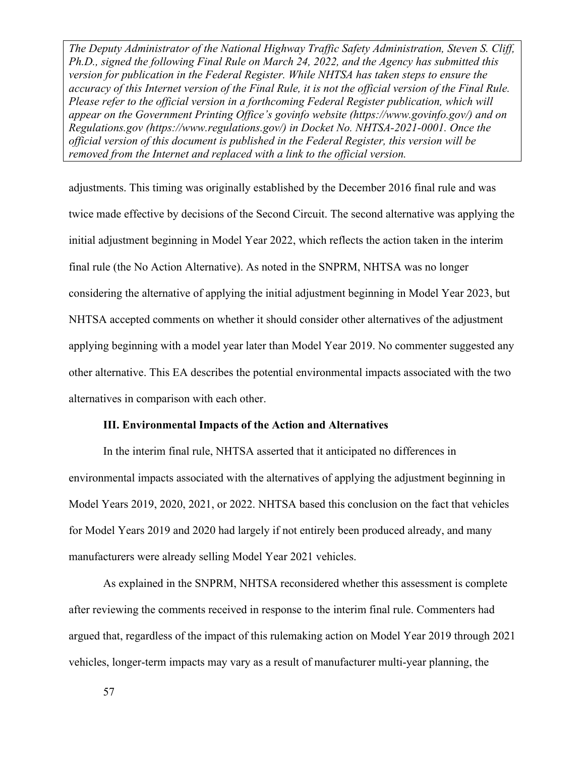adjustments. This timing was originally established by the December 2016 final rule and was twice made effective by decisions of the Second Circuit. The second alternative was applying the initial adjustment beginning in Model Year 2022, which reflects the action taken in the interim final rule (the No Action Alternative). As noted in the SNPRM, NHTSA was no longer considering the alternative of applying the initial adjustment beginning in Model Year 2023, but NHTSA accepted comments on whether it should consider other alternatives of the adjustment applying beginning with a model year later than Model Year 2019. No commenter suggested any other alternative. This EA describes the potential environmental impacts associated with the two alternatives in comparison with each other.

#### **III. Environmental Impacts of the Action and Alternatives**

In the interim final rule, NHTSA asserted that it anticipated no differences in environmental impacts associated with the alternatives of applying the adjustment beginning in Model Years 2019, 2020, 2021, or 2022. NHTSA based this conclusion on the fact that vehicles for Model Years 2019 and 2020 had largely if not entirely been produced already, and many manufacturers were already selling Model Year 2021 vehicles.

As explained in the SNPRM, NHTSA reconsidered whether this assessment is complete after reviewing the comments received in response to the interim final rule. Commenters had argued that, regardless of the impact of this rulemaking action on Model Year 2019 through 2021 vehicles, longer-term impacts may vary as a result of manufacturer multi-year planning, the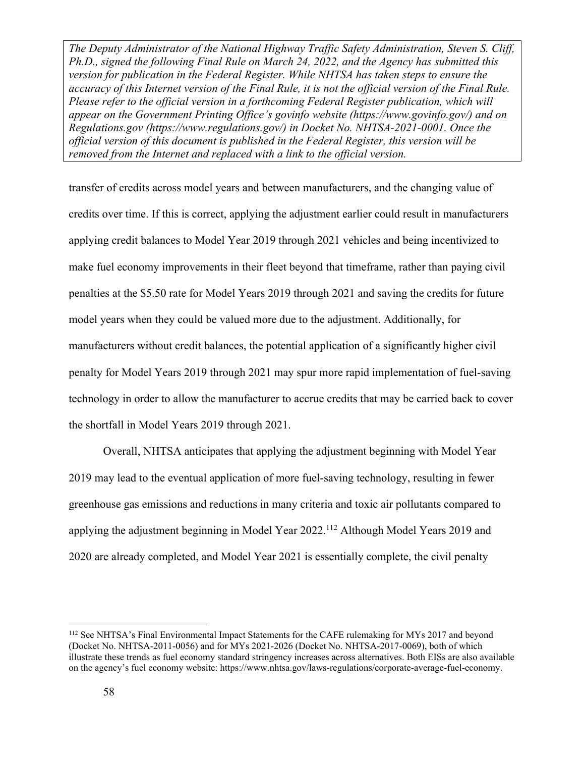transfer of credits across model years and between manufacturers, and the changing value of credits over time. If this is correct, applying the adjustment earlier could result in manufacturers applying credit balances to Model Year 2019 through 2021 vehicles and being incentivized to make fuel economy improvements in their fleet beyond that timeframe, rather than paying civil penalties at the \$5.50 rate for Model Years 2019 through 2021 and saving the credits for future model years when they could be valued more due to the adjustment. Additionally, for manufacturers without credit balances, the potential application of a significantly higher civil penalty for Model Years 2019 through 2021 may spur more rapid implementation of fuel-saving technology in order to allow the manufacturer to accrue credits that may be carried back to cover the shortfall in Model Years 2019 through 2021.

Overall, NHTSA anticipates that applying the adjustment beginning with Model Year 2019 may lead to the eventual application of more fuel-saving technology, resulting in fewer greenhouse gas emissions and reductions in many criteria and toxic air pollutants compared to applying the adjustment beginning in Model Year 2022.<sup>112</sup> Although Model Years 2019 and 2020 are already completed, and Model Year 2021 is essentially complete, the civil penalty

<sup>&</sup>lt;sup>112</sup> See NHTSA's Final Environmental Impact Statements for the CAFE rulemaking for MYs 2017 and beyond (Docket No. NHTSA-2011-0056) and for MYs 2021-2026 (Docket No. NHTSA-2017-0069), both of which illustrate these trends as fuel economy standard stringency increases across alternatives. Both EISs are also available on the agency's fuel economy website: https://www.nhtsa.gov/laws-regulations/corporate-average-fuel-economy.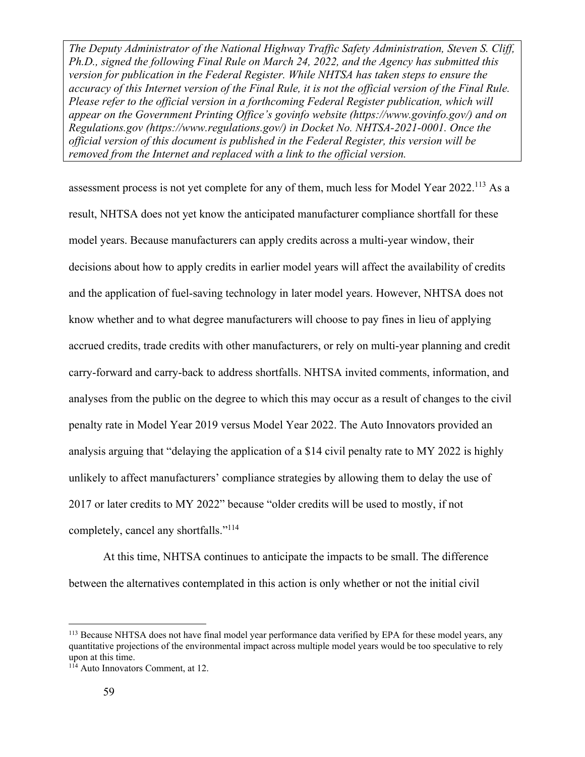assessment process is not yet complete for any of them, much less for Model Year 2022.<sup>113</sup> As a result, NHTSA does not yet know the anticipated manufacturer compliance shortfall for these model years. Because manufacturers can apply credits across a multi-year window, their decisions about how to apply credits in earlier model years will affect the availability of credits and the application of fuel-saving technology in later model years. However, NHTSA does not know whether and to what degree manufacturers will choose to pay fines in lieu of applying accrued credits, trade credits with other manufacturers, or rely on multi-year planning and credit carry-forward and carry-back to address shortfalls. NHTSA invited comments, information, and analyses from the public on the degree to which this may occur as a result of changes to the civil penalty rate in Model Year 2019 versus Model Year 2022. The Auto Innovators provided an analysis arguing that "delaying the application of a \$14 civil penalty rate to MY 2022 is highly unlikely to affect manufacturers' compliance strategies by allowing them to delay the use of 2017 or later credits to MY 2022" because "older credits will be used to mostly, if not completely, cancel any shortfalls."<sup>114</sup>

At this time, NHTSA continues to anticipate the impacts to be small. The difference between the alternatives contemplated in this action is only whether or not the initial civil

<sup>&</sup>lt;sup>113</sup> Because NHTSA does not have final model year performance data verified by EPA for these model years, any quantitative projections of the environmental impact across multiple model years would be too speculative to rely upon at this time.

 $114$  Auto Innovators Comment, at 12.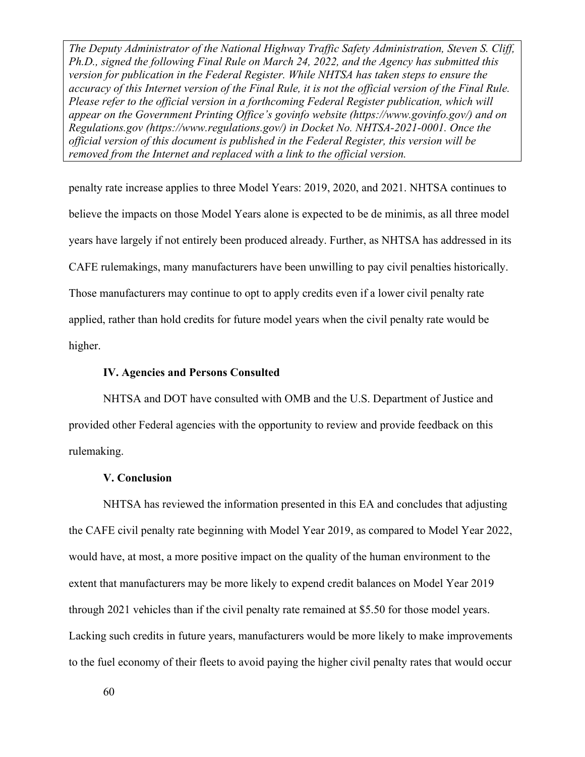penalty rate increase applies to three Model Years: 2019, 2020, and 2021. NHTSA continues to believe the impacts on those Model Years alone is expected to be de minimis, as all three model years have largely if not entirely been produced already. Further, as NHTSA has addressed in its CAFE rulemakings, many manufacturers have been unwilling to pay civil penalties historically. Those manufacturers may continue to opt to apply credits even if a lower civil penalty rate applied, rather than hold credits for future model years when the civil penalty rate would be higher.

#### **IV. Agencies and Persons Consulted**

NHTSA and DOT have consulted with OMB and the U.S. Department of Justice and provided other Federal agencies with the opportunity to review and provide feedback on this rulemaking.

#### **V. Conclusion**

NHTSA has reviewed the information presented in this EA and concludes that adjusting the CAFE civil penalty rate beginning with Model Year 2019, as compared to Model Year 2022, would have, at most, a more positive impact on the quality of the human environment to the extent that manufacturers may be more likely to expend credit balances on Model Year 2019 through 2021 vehicles than if the civil penalty rate remained at \$5.50 for those model years. Lacking such credits in future years, manufacturers would be more likely to make improvements to the fuel economy of their fleets to avoid paying the higher civil penalty rates that would occur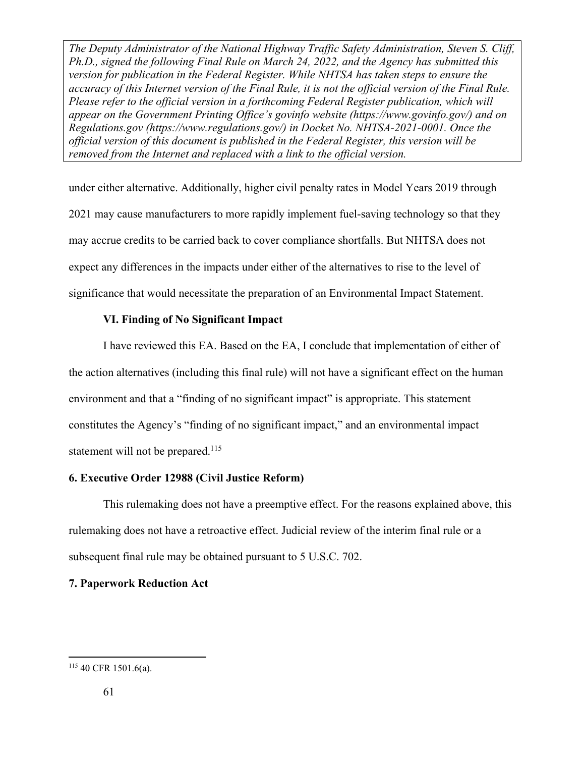under either alternative. Additionally, higher civil penalty rates in Model Years 2019 through 2021 may cause manufacturers to more rapidly implement fuel-saving technology so that they may accrue credits to be carried back to cover compliance shortfalls. But NHTSA does not expect any differences in the impacts under either of the alternatives to rise to the level of significance that would necessitate the preparation of an Environmental Impact Statement.

#### **VI. Finding of No Significant Impact**

I have reviewed this EA. Based on the EA, I conclude that implementation of either of the action alternatives (including this final rule) will not have a significant effect on the human environment and that a "finding of no significant impact" is appropriate. This statement constitutes the Agency's "finding of no significant impact," and an environmental impact statement will not be prepared.<sup>115</sup>

#### **6. Executive Order 12988 (Civil Justice Reform)**

This rulemaking does not have a preemptive effect. For the reasons explained above, this rulemaking does not have a retroactive effect. Judicial review of the interim final rule or a subsequent final rule may be obtained pursuant to 5 U.S.C. 702.

#### **7. Paperwork Reduction Act**

 $115$  40 CFR 1501.6(a).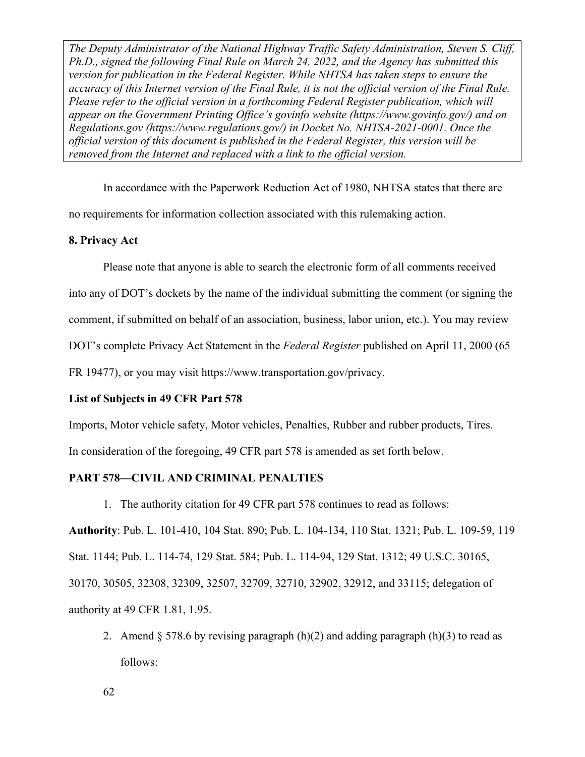In accordance with the Paperwork Reduction Act of 1980, NHTSA states that there are no requirements for information collection associated with this rulemaking action.

#### **8. Privacy Act**

Please note that anyone is able to search the electronic form of all comments received into any of DOT's dockets by the name of the individual submitting the comment (or signing the comment, if submitted on behalf of an association, business, labor union, etc.). You may review

DOT's complete Privacy Act Statement in the *Federal Register* published on April 11, 2000 (65

FR 19477), or you may visit https://www.transportation.gov/privacy.

#### **List of Subjects in 49 CFR Part 578**

Imports, Motor vehicle safety, Motor vehicles, Penalties, Rubber and rubber products, Tires. In consideration of the foregoing, 49 CFR part 578 is amended as set forth below.

#### **PART 578—CIVIL AND CRIMINAL PENALTIES**

1. The authority citation for 49 CFR part 578 continues to read as follows:

**Authority**: Pub. L. 101-410, 104 Stat. 890; Pub. L. 104-134, 110 Stat. 1321; Pub. L. 109-59, 119 Stat. 1144; Pub. L. 114-74, 129 Stat. 584; Pub. L. 114-94, 129 Stat. 1312; 49 U.S.C. 30165, 30170, 30505, 32308, 32309, 32507, 32709, 32710, 32902, 32912, and 33115; delegation of authority at 49 CFR 1.81, 1.95.

2. Amend  $\S 578.6$  by revising paragraph (h)(2) and adding paragraph (h)(3) to read as follows: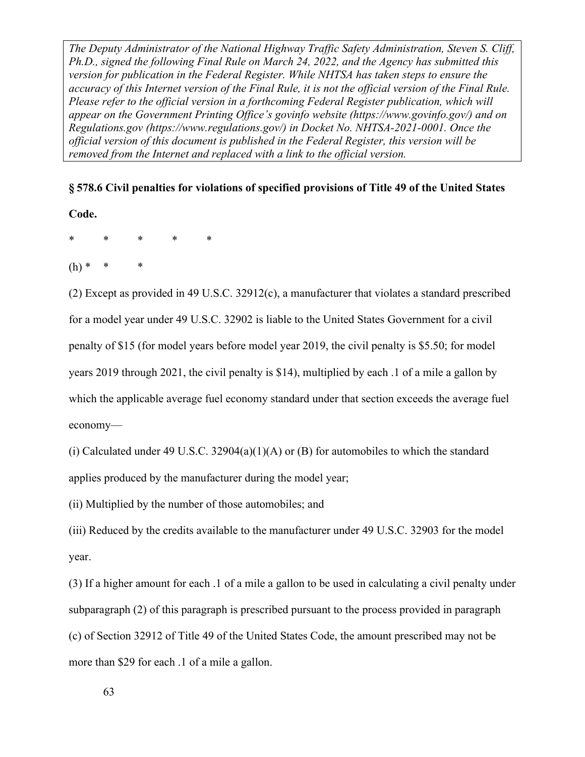**§ 578.6 Civil penalties for violations of specified provisions of Title 49 of the United States** 

**Code.** 

\* \* \* \* \*

 $(h)$  \*

(2) Except as provided in 49 U.S.C. 32912(c), a manufacturer that violates a standard prescribed for a model year under 49 U.S.C. 32902 is liable to the United States Government for a civil penalty of \$15 (for model years before model year 2019, the civil penalty is \$5.50; for model years 2019 through 2021, the civil penalty is \$14), multiplied by each .1 of a mile a gallon by which the applicable average fuel economy standard under that section exceeds the average fuel economy—

(i) Calculated under 49 U.S.C. 32904(a)(1)(A) or (B) for automobiles to which the standard applies produced by the manufacturer during the model year;

(ii) Multiplied by the number of those automobiles; and

(iii) Reduced by the credits available to the manufacturer under 49 U.S.C. 32903 for the model year.

(3) If a higher amount for each .1 of a mile a gallon to be used in calculating a civil penalty under subparagraph (2) of this paragraph is prescribed pursuant to the process provided in paragraph (c) of Section 32912 of Title 49 of the United States Code, the amount prescribed may not be more than \$29 for each .1 of a mile a gallon.